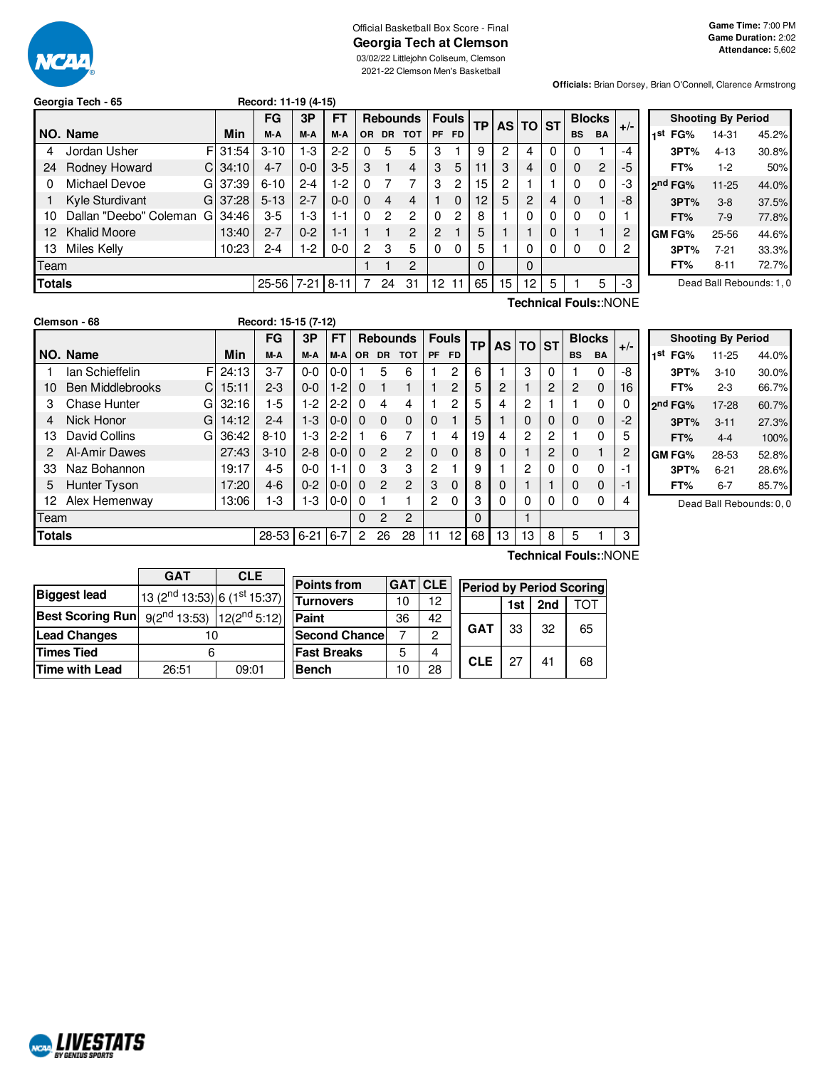

#### Official Basketball Box Score - Final **Georgia Tech at Clemson** 03/02/22 Littlejohn Coliseum, Clemson 2021-22 Clemson Men's Basketball

**Game Time:** 7:00 PM **Game Duration:** 2:02 **Attendance:** 5,602

**Officials:** Brian Dorsey, Brian O'Connell, Clarence Armstrong

| Georgia Tech - 65 |       | Record: 11-19 (4-15) |                        |  |
|-------------------|-------|----------------------|------------------------|--|
|                   |       | $FG$ 3P $FT$ Reb     |                        |  |
| INO. Name         | Min I |                      | $M-A$ $M-A$ $M-A$ $OR$ |  |

|               |                        |    |       | FG        | 3P       | FT      |              |     | <b>Rebounds   Fouls</b> |                |           | <b>TP</b> |    | AS TO ST |   |           | <b>Blocks</b>  |       |  |
|---------------|------------------------|----|-------|-----------|----------|---------|--------------|-----|-------------------------|----------------|-----------|-----------|----|----------|---|-----------|----------------|-------|--|
|               | NO. Name               |    | Min   | M-A       | M-A      | M-A     | <b>OR</b>    | DR. | тот                     | <b>PF</b>      | <b>FD</b> |           |    |          |   | <b>BS</b> | BA             | $+/-$ |  |
| 4             | Jordan Usher           | FI | 31:54 | $3 - 10$  | $1-3$    | $2 - 2$ | O            | 5   | 5                       | 3              |           | 9         | 2  | 4        | 0 |           |                | $-4$  |  |
| 24            | Rodney Howard          | СI | 34:10 | $4 - 7$   | $0-0$    | $3-5$   | 3            |     | 4                       | 3              | 5         | 11        | 3  | 4        | 0 | 0         | $\overline{2}$ | -5    |  |
|               | Michael Devoe          | GI | 37:39 | $6 - 10$  | $2 - 4$  | $1-2$   |              |     |                         | 3              | 2         | 15        | 2  |          |   | 0         | $\mathbf{0}$   | -3    |  |
|               | Kyle Sturdivant        | GL | 37:28 | $5 - 13$  | $2 - 7$  | $0 - 0$ | 0            | 4   | 4                       |                | 0         | 12        | 5  | 2        | 4 | 0         |                | -8    |  |
| 10            | Dallan "Deebo" Coleman | G  | 34:46 | $3-5$     | $1-3$    | 1-1     | 0            | 2   | 2                       | $\Omega$       | 2         | 8         |    | 0        | 0 | 0         | 0              |       |  |
| $12^{\circ}$  | <b>Khalid Moore</b>    |    | 13:40 | 2-7       | $0 - 2$  | $1 - 1$ |              |     | $\overline{c}$          | $\overline{2}$ |           | 5         |    |          | 0 |           |                | 2     |  |
| 13            | Miles Kelly            |    | 10:23 | $2 - 4$   | $1-2$    | $0-0$   | $\mathbf{2}$ | 3   | 5                       | $\Omega$       | 0         | 5         |    | 0        | 0 |           | 0              | 2     |  |
| Team          |                        |    |       |           |          |         |              |     | 2                       |                |           | $\Omega$  |    | $\Omega$ |   |           |                |       |  |
| <b>Totals</b> |                        |    |       | $25 - 56$ | $7 - 21$ | $8-1$   |              | 24  | 31                      | 12             | 11        | 65        | 15 | 12       | 5 |           | 5              | -3    |  |

**Shooting By Period 1 st FG%** 14-31 45.2% **3PT%** 4-13 30.8% **FT%** 1-2 50% **2 nd FG%** 11-25 44.0% **3PT%** 3-8 37.5% **FT%** 7-9 77.8% **GM FG%** 25-56 44.6% **3PT%** 7-21 33.3% **FT%** 8-11 72.7%

Dead Ball Rebounds: 1, 0

|               | Clemson - 68            |    |            | Record: 15-15 (7-12) |          |           |           |                |                 |                |              |    |           |           |           |           |               |       |                |
|---------------|-------------------------|----|------------|----------------------|----------|-----------|-----------|----------------|-----------------|----------------|--------------|----|-----------|-----------|-----------|-----------|---------------|-------|----------------|
|               |                         |    |            | FG                   | 3P       | <b>FT</b> |           |                | <b>Rebounds</b> |                | <b>Fouls</b> | TP | <b>AS</b> | <b>TO</b> | <b>ST</b> |           | <b>Blocks</b> |       |                |
|               | NO. Name                |    | <b>Min</b> | M-A                  | M-A      | M-A       | <b>OR</b> | <b>DR</b>      | <b>TOT</b>      | <b>PF</b>      | <b>FD</b>    |    |           |           |           | <b>BS</b> | <b>BA</b>     | $+/-$ | l 1'           |
|               | lan Schieffelin         | FI | 24:13      | $3 - 7$              | $0 - 0$  | $0-0$     |           | 5              | 6               |                | 2            | 6  |           | 3         | 0         |           | $\Omega$      | -8    |                |
| 10            | <b>Ben Middlebrooks</b> | C. | 15:11      | $2 - 3$              | $0 - 0$  | $1-2$     | $\Omega$  |                |                 |                | 2            | 5  | 2         |           | 2         | 2         | $\mathbf{0}$  | 16    |                |
| 3             | Chase Hunter            | GI | 32:16      | $1-5$                | 1-2      | $2 - 2$   | $\Omega$  | 4              | 4               |                | 2            | 5  | 4         | 2         |           |           | $\Omega$      | 0     | 2 <sup>1</sup> |
| 4             | Nick Honor              | GI | 14:12      | $2 - 4$              | $1-3$    | $0-0$     | $\Omega$  | $\Omega$       | $\Omega$        | $\Omega$       |              | 5  |           | 0         | 0         | 0         | $\mathbf{0}$  | -2    |                |
| 13            | David Collins           | GI | 36:42      | $8 - 10$             | 1-3      | $2 - 2$   |           | 6              |                 |                | 4            | 19 | 4         | 2         | 2         |           | $\Omega$      | 5     |                |
| 2             | Al-Amir Dawes           |    | 27:43      | $3 - 10$             | $2 - 8$  | $0-0$     | $\Omega$  | $\overline{2}$ | $\overline{2}$  | $\Omega$       | $\Omega$     | 8  | 0         |           | 2         | 0         |               | 2     | G              |
| 33            | Naz Bohannon            |    | 19:17      | $4 - 5$              | $0 - 0$  | $1 - 1$   | 0         | 3              | 3               | 2              |              | 9  |           | 2         | 0         |           | $\Omega$      | -1    |                |
| 5             | Hunter Tyson            |    | 17:20      | $4-6$                | $0 - 2$  | $0-0$     | $\Omega$  | $\overline{2}$ | $\overline{c}$  | 3              | $\Omega$     | 8  | 0         |           |           | 0         | $\mathbf 0$   | -1    |                |
| 12            | Alex Hemenway           |    | 13:06      | 1-3                  | $1-3$    | $0-0$     | $\Omega$  |                |                 | $\overline{2}$ | 0            | 3  | 0         | 0         | 0         | $\Omega$  | $\Omega$      | 4     |                |
| Team          |                         |    |            |                      |          |           | 0         | 2              | 2               |                |              | 0  |           |           |           |           |               |       |                |
| <b>Totals</b> |                         |    |            | 28-53                | $6 - 21$ | $6 - 7$   | 2         | 26             | 28              | 11             | 12           | 68 | 13        | 13        | 8         | 5         |               | 3     |                |
|               |                         |    |            |                      |          |           |           |                |                 |                |              |    |           |           |           |           |               |       |                |

|     |                     | <b>Shooting By Period</b> |       |
|-----|---------------------|---------------------------|-------|
| 1st | FG%                 | 11-25                     | 44.0% |
|     | 3PT%                | $3 - 10$                  | 30.0% |
|     | FT%                 | 2-3                       | 66.7% |
|     | 2 <sup>nd</sup> FG% | 17-28                     | 60.7% |
|     | 3PT%                | $3 - 11$                  | 27.3% |
|     | FT%                 | $4 - 4$                   | 100%  |
|     | <b>GM FG%</b>       | 28-53                     | 52.8% |
|     | 3PT%                | 6-21                      | 28.6% |
|     | FT%                 | 6-7                       | 85.7% |

Dead Ball Rebounds: 0, 0

|                         | <b>GAT</b>                                           | <b>CLE</b> |  |  |  |  |
|-------------------------|------------------------------------------------------|------------|--|--|--|--|
| <b>Biggest lead</b>     | 13 (2 <sup>nd</sup> 13:53) 6 (1 <sup>st</sup> 15:37) |            |  |  |  |  |
| <b>Best Scoring Run</b> | $9(2^{nd} 13:53)$   $12(2^{nd} 5:12)$                |            |  |  |  |  |
| <b>Lead Changes</b>     | 10                                                   |            |  |  |  |  |
| <b>Times Tied</b>       | հ                                                    |            |  |  |  |  |
| Time with Lead          | 26:51                                                | 09:01      |  |  |  |  |

NCAL LIVESTATS

| <b>Points from</b>    | <b>GATICLE</b> |    | <b>Period by Period Scoring</b> |     |     |     |
|-----------------------|----------------|----|---------------------------------|-----|-----|-----|
| <b>Turnovers</b>      | 10             | 12 |                                 | 1st | 2nd | TOT |
| Paint                 | 36             | 42 |                                 |     |     |     |
| <b>Second Chance!</b> |                | 2  | <b>GAT</b>                      | 33  | 32  | 65  |
| <b>Fast Breaks</b>    | 5              |    | <b>CLE</b>                      | 27  | 41  |     |
| Bench                 | 10             | 28 |                                 |     |     | 68  |

**Technical Fouls:**:NONE

**Technical Fouls:**:NONE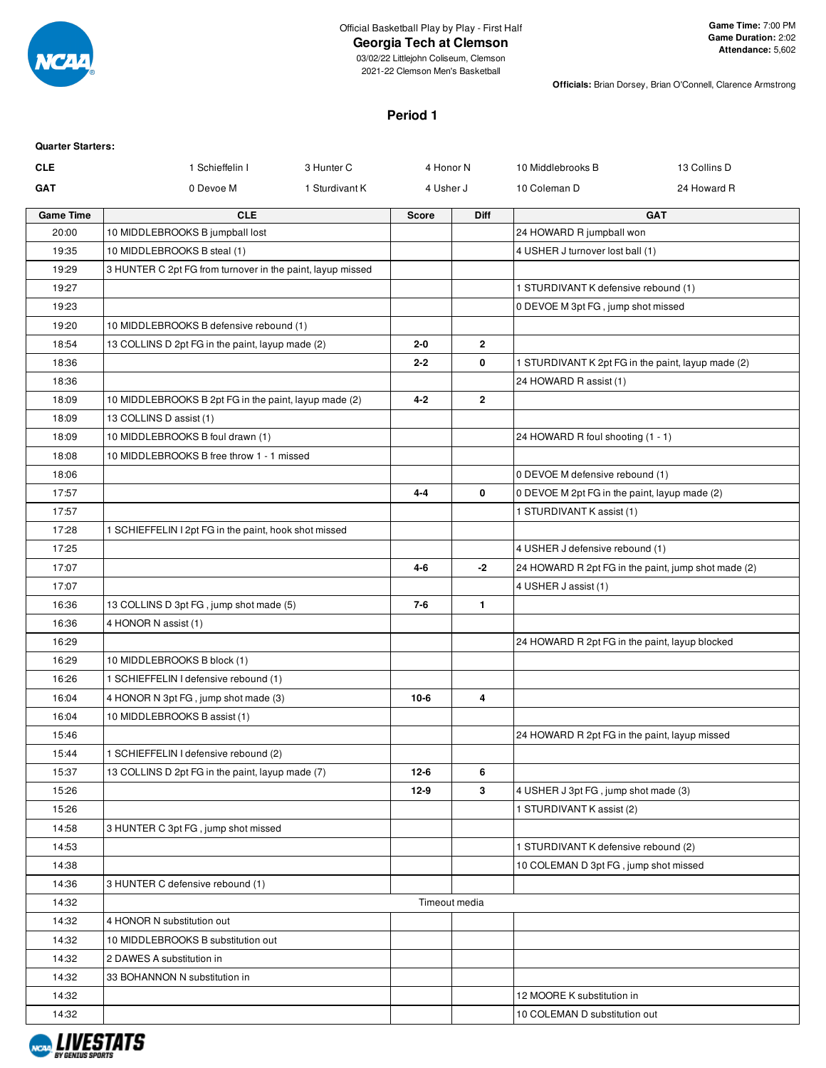

# **Georgia Tech at Clemson**

**Officials:** Brian Dorsey, Brian O'Connell, Clarence Armstrong

### **Period 1**

| <b>Quarter Starters:</b><br><b>CLE</b> | 1 Schieffelin I                                                                             | 3 Hunter C     | 4 Honor N    |               | 10 Middlebrooks B                                                           | 13 Collins D |
|----------------------------------------|---------------------------------------------------------------------------------------------|----------------|--------------|---------------|-----------------------------------------------------------------------------|--------------|
| <b>GAT</b>                             | 0 Devoe M                                                                                   | 1 Sturdivant K | 4 Usher J    |               | 10 Coleman D                                                                | 24 Howard R  |
|                                        |                                                                                             |                |              |               |                                                                             |              |
| <b>Game Time</b><br>20:00              | <b>CLE</b>                                                                                  |                | <b>Score</b> | Diff          |                                                                             | <b>GAT</b>   |
| 19:35                                  | 10 MIDDLEBROOKS B jumpball lost<br>10 MIDDLEBROOKS B steal (1)                              |                |              |               | 24 HOWARD R jumpball won<br>4 USHER J turnover lost ball (1)                |              |
| 19:29                                  | 3 HUNTER C 2pt FG from turnover in the paint, layup missed                                  |                |              |               |                                                                             |              |
| 19:27                                  |                                                                                             |                |              |               |                                                                             |              |
| 19:23                                  |                                                                                             |                |              |               | 1 STURDIVANT K defensive rebound (1)                                        |              |
| 19:20                                  |                                                                                             |                |              |               | 0 DEVOE M 3pt FG, jump shot missed                                          |              |
| 18:54                                  | 10 MIDDLEBROOKS B defensive rebound (1)<br>13 COLLINS D 2pt FG in the paint, layup made (2) |                | $2 - 0$      | $\mathbf{2}$  |                                                                             |              |
| 18:36                                  |                                                                                             |                | $2 - 2$      | 0             | 1 STURDIVANT K 2pt FG in the paint, layup made (2)                          |              |
| 18:36                                  |                                                                                             |                |              |               | 24 HOWARD R assist (1)                                                      |              |
| 18:09                                  | 10 MIDDLEBROOKS B 2pt FG in the paint, layup made (2)                                       |                | $4 - 2$      | $\mathbf{2}$  |                                                                             |              |
| 18:09                                  |                                                                                             |                |              |               |                                                                             |              |
|                                        | 13 COLLINS D assist (1)<br>10 MIDDLEBROOKS B foul drawn (1)                                 |                |              |               | 24 HOWARD R foul shooting (1 - 1)                                           |              |
| 18:09<br>18:08                         | 10 MIDDLEBROOKS B free throw 1 - 1 missed                                                   |                |              |               |                                                                             |              |
| 18:06                                  |                                                                                             |                |              |               |                                                                             |              |
|                                        |                                                                                             |                | $4 - 4$      | 0             | 0 DEVOE M defensive rebound (1)                                             |              |
| 17:57                                  |                                                                                             |                |              |               | 0 DEVOE M 2pt FG in the paint, layup made (2)                               |              |
| 17:57                                  |                                                                                             |                |              |               | 1 STURDIVANT K assist (1)                                                   |              |
| 17:28<br>17:25                         | 1 SCHIEFFELIN I 2pt FG in the paint, hook shot missed                                       |                |              |               |                                                                             |              |
|                                        |                                                                                             |                | $4 - 6$      | $-2$          | 4 USHER J defensive rebound (1)                                             |              |
| 17:07                                  |                                                                                             |                |              |               | 24 HOWARD R 2pt FG in the paint, jump shot made (2)<br>4 USHER J assist (1) |              |
| 17:07                                  |                                                                                             |                |              | $\mathbf{1}$  |                                                                             |              |
| 16:36<br>16:36                         | 13 COLLINS D 3pt FG, jump shot made (5)                                                     |                | $7-6$        |               |                                                                             |              |
| 16:29                                  | 4 HONOR N assist (1)                                                                        |                |              |               | 24 HOWARD R 2pt FG in the paint, layup blocked                              |              |
| 16:29                                  | 10 MIDDLEBROOKS B block (1)                                                                 |                |              |               |                                                                             |              |
| 16:26                                  | 1 SCHIEFFELIN I defensive rebound (1)                                                       |                |              |               |                                                                             |              |
| 16:04                                  | 4 HONOR N 3pt FG, jump shot made (3)                                                        |                | $10-6$       | 4             |                                                                             |              |
| 16:04                                  | 10 MIDDLEBROOKS B assist (1)                                                                |                |              |               |                                                                             |              |
| 15:46                                  |                                                                                             |                |              |               | 24 HOWARD R 2pt FG in the paint, layup missed                               |              |
| 15:44                                  | 1 SCHIEFFELIN I defensive rebound (2)                                                       |                |              |               |                                                                             |              |
| 15:37                                  | 13 COLLINS D 2pt FG in the paint, layup made (7)                                            |                | $12-6$       | 6             |                                                                             |              |
| 15:26                                  |                                                                                             |                | $12-9$       | 3             | 4 USHER J 3pt FG, jump shot made (3)                                        |              |
| 15:26                                  |                                                                                             |                |              |               | 1 STURDIVANT K assist (2)                                                   |              |
| 14:58                                  | 3 HUNTER C 3pt FG, jump shot missed                                                         |                |              |               |                                                                             |              |
| 14:53                                  |                                                                                             |                |              |               | 1 STURDIVANT K defensive rebound (2)                                        |              |
| 14:38                                  |                                                                                             |                |              |               | 10 COLEMAN D 3pt FG, jump shot missed                                       |              |
| 14:36                                  | 3 HUNTER C defensive rebound (1)                                                            |                |              |               |                                                                             |              |
| 14:32                                  |                                                                                             |                |              | Timeout media |                                                                             |              |
| 14:32                                  | 4 HONOR N substitution out                                                                  |                |              |               |                                                                             |              |
| 14:32                                  | 10 MIDDLEBROOKS B substitution out                                                          |                |              |               |                                                                             |              |
| 14:32                                  | 2 DAWES A substitution in                                                                   |                |              |               |                                                                             |              |
| 14:32                                  | 33 BOHANNON N substitution in                                                               |                |              |               |                                                                             |              |
| 14:32                                  |                                                                                             |                |              |               | 12 MOORE K substitution in                                                  |              |
| 14:32                                  |                                                                                             |                |              |               | 10 COLEMAN D substitution out                                               |              |
|                                        |                                                                                             |                |              |               |                                                                             |              |

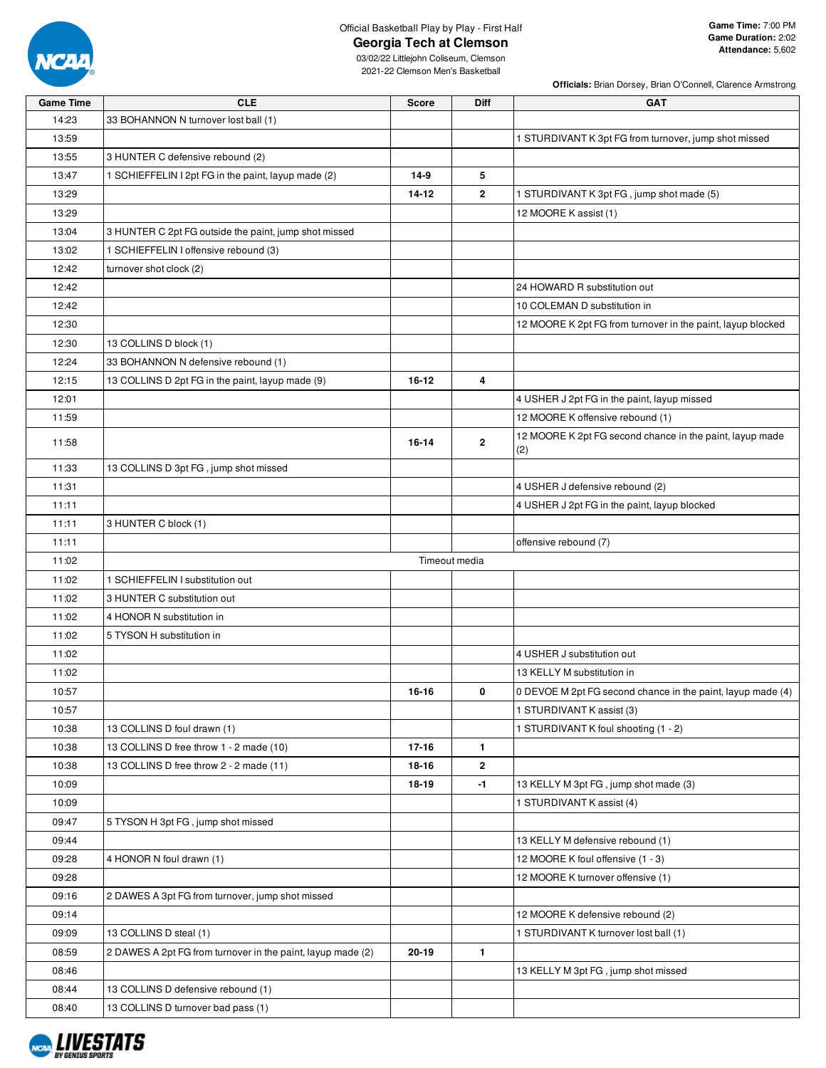

### Official Basketball Play by Play - First Half

**Georgia Tech at Clemson**

**Officials:** Brian Dorsey, Brian O'Connell, Clarence Armstrong

| <b>Game Time</b> | <b>CLE</b>                                                  | <b>Score</b>  | Diff           | <b>GAT</b>                                                      |
|------------------|-------------------------------------------------------------|---------------|----------------|-----------------------------------------------------------------|
| 14:23            | 33 BOHANNON N turnover lost ball (1)                        |               |                |                                                                 |
| 13:59            |                                                             |               |                | 1 STURDIVANT K 3pt FG from turnover, jump shot missed           |
| 13:55            | 3 HUNTER C defensive rebound (2)                            |               |                |                                                                 |
| 13:47            | 1 SCHIEFFELIN I 2pt FG in the paint, layup made (2)         | $14-9$        | 5              |                                                                 |
| 13:29            |                                                             | $14 - 12$     | $\overline{2}$ | 1 STURDIVANT K 3pt FG, jump shot made (5)                       |
| 13:29            |                                                             |               |                | 12 MOORE K assist (1)                                           |
| 13:04            | 3 HUNTER C 2pt FG outside the paint, jump shot missed       |               |                |                                                                 |
| 13:02            | 1 SCHIEFFELIN I offensive rebound (3)                       |               |                |                                                                 |
| 12:42            | turnover shot clock (2)                                     |               |                |                                                                 |
| 12:42            |                                                             |               |                | 24 HOWARD R substitution out                                    |
| 12:42            |                                                             |               |                | 10 COLEMAN D substitution in                                    |
| 12:30            |                                                             |               |                | 12 MOORE K 2pt FG from turnover in the paint, layup blocked     |
| 12:30            | 13 COLLINS D block (1)                                      |               |                |                                                                 |
| 12:24            | 33 BOHANNON N defensive rebound (1)                         |               |                |                                                                 |
| 12:15            | 13 COLLINS D 2pt FG in the paint, layup made (9)            | 16-12         | 4              |                                                                 |
| 12:01            |                                                             |               |                | 4 USHER J 2pt FG in the paint, layup missed                     |
| 11:59            |                                                             |               |                | 12 MOORE K offensive rebound (1)                                |
| 11:58            |                                                             | 16-14         | $\overline{2}$ | 12 MOORE K 2pt FG second chance in the paint, layup made<br>(2) |
| 11:33            | 13 COLLINS D 3pt FG, jump shot missed                       |               |                |                                                                 |
| 11:31            |                                                             |               |                | 4 USHER J defensive rebound (2)                                 |
| 11:11            |                                                             |               |                | 4 USHER J 2pt FG in the paint, layup blocked                    |
| 11:11            | 3 HUNTER C block (1)                                        |               |                |                                                                 |
| 11:11            |                                                             |               |                | offensive rebound (7)                                           |
| 11:02            |                                                             | Timeout media |                |                                                                 |
| 11:02            | 1 SCHIEFFELIN I substitution out                            |               |                |                                                                 |
| 11:02            | 3 HUNTER C substitution out                                 |               |                |                                                                 |
| 11:02            | 4 HONOR N substitution in                                   |               |                |                                                                 |
| 11:02            | 5 TYSON H substitution in                                   |               |                |                                                                 |
| 11:02            |                                                             |               |                | 4 USHER J substitution out                                      |
| 11:02            |                                                             |               |                | 13 KELLY M substitution in                                      |
| 10:57            |                                                             | 16-16         | 0              | 0 DEVOE M 2pt FG second chance in the paint, layup made (4)     |
| 10:57            |                                                             |               |                | 1 STURDIVANT K assist (3)                                       |
| 10:38            | 13 COLLINS D foul drawn (1)                                 |               |                | 1 STURDIVANT K foul shooting (1 - 2)                            |
| 10:38            | 13 COLLINS D free throw 1 - 2 made (10)                     | 17-16         | $\mathbf{1}$   |                                                                 |
| 10:38            | 13 COLLINS D free throw 2 - 2 made (11)                     | 18-16         | $\mathbf{2}$   |                                                                 |
| 10:09            |                                                             | 18-19         | -1             | 13 KELLY M 3pt FG, jump shot made (3)                           |
| 10:09            |                                                             |               |                | 1 STURDIVANT K assist (4)                                       |
| 09:47            | 5 TYSON H 3pt FG, jump shot missed                          |               |                |                                                                 |
| 09:44            |                                                             |               |                | 13 KELLY M defensive rebound (1)                                |
| 09:28            | 4 HONOR N foul drawn (1)                                    |               |                | 12 MOORE K foul offensive (1 - 3)                               |
| 09:28            |                                                             |               |                | 12 MOORE K turnover offensive (1)                               |
| 09:16            | 2 DAWES A 3pt FG from turnover, jump shot missed            |               |                |                                                                 |
| 09:14            |                                                             |               |                | 12 MOORE K defensive rebound (2)                                |
| 09:09            | 13 COLLINS D steal (1)                                      |               |                | 1 STURDIVANT K turnover lost ball (1)                           |
| 08:59            | 2 DAWES A 2pt FG from turnover in the paint, layup made (2) | 20-19         | $\mathbf{1}$   |                                                                 |
| 08:46            |                                                             |               |                | 13 KELLY M 3pt FG, jump shot missed                             |
| 08:44            | 13 COLLINS D defensive rebound (1)                          |               |                |                                                                 |
| 08:40            | 13 COLLINS D turnover bad pass (1)                          |               |                |                                                                 |

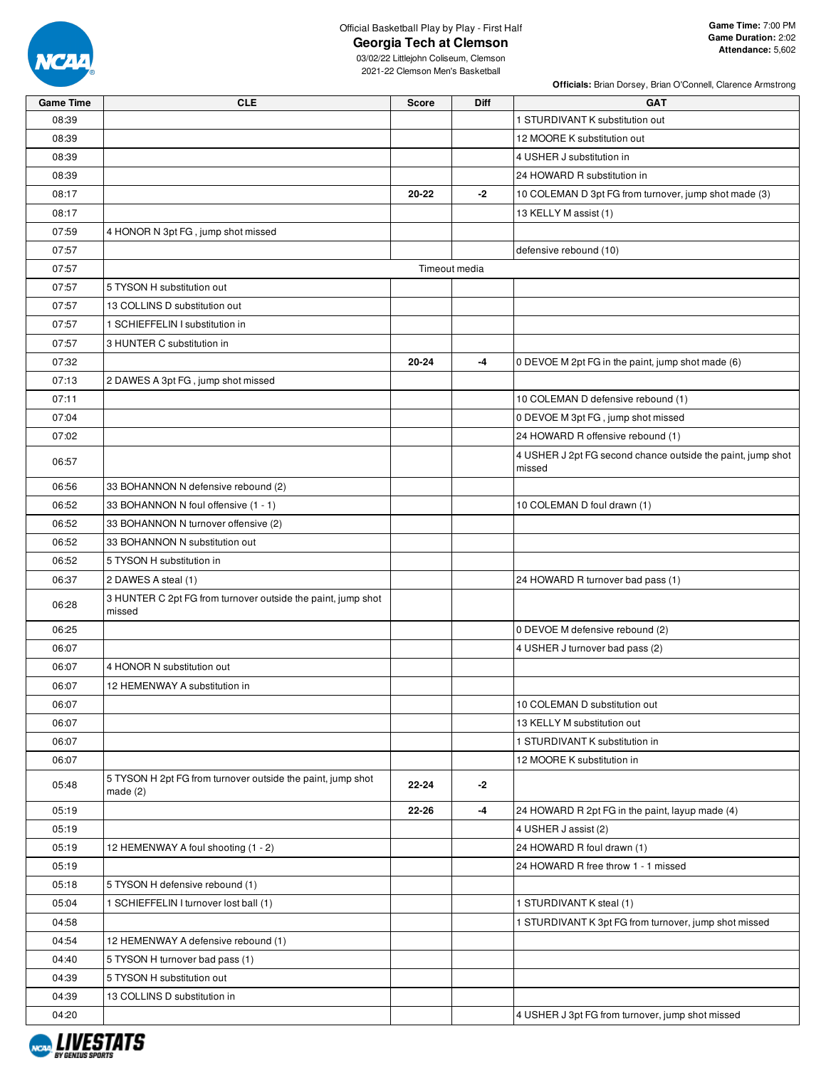

### Official Basketball Play by Play - First Half **Georgia Tech at Clemson**

**Officials:** Brian Dorsey, Brian O'Connell, Clarence Armstrong

| <b>Game Time</b> | <b>CLE</b>                                                                | <b>Score</b> | Diff          | <b>GAT</b>                                                            |
|------------------|---------------------------------------------------------------------------|--------------|---------------|-----------------------------------------------------------------------|
| 08:39            |                                                                           |              |               | 1 STURDIVANT K substitution out                                       |
| 08:39            |                                                                           |              |               | 12 MOORE K substitution out                                           |
| 08:39            |                                                                           |              |               | 4 USHER J substitution in                                             |
| 08:39            |                                                                           |              |               | 24 HOWARD R substitution in                                           |
| 08:17            |                                                                           | 20-22        | -2            | 10 COLEMAN D 3pt FG from turnover, jump shot made (3)                 |
| 08:17            |                                                                           |              |               | 13 KELLY M assist (1)                                                 |
| 07:59            | 4 HONOR N 3pt FG, jump shot missed                                        |              |               |                                                                       |
| 07:57            |                                                                           |              |               | defensive rebound (10)                                                |
| 07:57            |                                                                           |              | Timeout media |                                                                       |
| 07:57            | 5 TYSON H substitution out                                                |              |               |                                                                       |
| 07:57            | 13 COLLINS D substitution out                                             |              |               |                                                                       |
| 07:57            | 1 SCHIEFFELIN I substitution in                                           |              |               |                                                                       |
| 07:57            | 3 HUNTER C substitution in                                                |              |               |                                                                       |
| 07:32            |                                                                           | 20-24        | -4            | 0 DEVOE M 2pt FG in the paint, jump shot made (6)                     |
| 07:13            | 2 DAWES A 3pt FG, jump shot missed                                        |              |               |                                                                       |
| 07:11            |                                                                           |              |               | 10 COLEMAN D defensive rebound (1)                                    |
|                  |                                                                           |              |               |                                                                       |
| 07:04            |                                                                           |              |               | 0 DEVOE M 3pt FG, jump shot missed                                    |
| 07:02            |                                                                           |              |               | 24 HOWARD R offensive rebound (1)                                     |
| 06:57            |                                                                           |              |               | 4 USHER J 2pt FG second chance outside the paint, jump shot<br>missed |
| 06:56            | 33 BOHANNON N defensive rebound (2)                                       |              |               |                                                                       |
| 06:52            | 33 BOHANNON N foul offensive (1 - 1)                                      |              |               | 10 COLEMAN D foul drawn (1)                                           |
| 06:52            | 33 BOHANNON N turnover offensive (2)                                      |              |               |                                                                       |
| 06:52            | 33 BOHANNON N substitution out                                            |              |               |                                                                       |
| 06:52            | 5 TYSON H substitution in                                                 |              |               |                                                                       |
| 06:37            | 2 DAWES A steal (1)                                                       |              |               | 24 HOWARD R turnover bad pass (1)                                     |
| 06:28            | 3 HUNTER C 2pt FG from turnover outside the paint, jump shot<br>missed    |              |               |                                                                       |
| 06:25            |                                                                           |              |               | 0 DEVOE M defensive rebound (2)                                       |
| 06:07            |                                                                           |              |               | 4 USHER J turnover bad pass (2)                                       |
| 06:07            | 4 HONOR N substitution out                                                |              |               |                                                                       |
| 06:07            | 12 HEMENWAY A substitution in                                             |              |               |                                                                       |
| 06:07            |                                                                           |              |               | 10 COLEMAN D substitution out                                         |
| 06:07            |                                                                           |              |               | 13 KELLY M substitution out                                           |
| 06:07            |                                                                           |              |               | 1 STURDIVANT K substitution in                                        |
| 06:07            |                                                                           |              |               | 12 MOORE K substitution in                                            |
| 05:48            | 5 TYSON H 2pt FG from turnover outside the paint, jump shot<br>made $(2)$ | 22-24        | -2            |                                                                       |
| 05:19            |                                                                           | 22-26        | -4            | 24 HOWARD R 2pt FG in the paint, layup made (4)                       |
| 05:19            |                                                                           |              |               | 4 USHER J assist (2)                                                  |
| 05:19            | 12 HEMENWAY A foul shooting (1 - 2)                                       |              |               | 24 HOWARD R foul drawn (1)                                            |
| 05:19            |                                                                           |              |               | 24 HOWARD R free throw 1 - 1 missed                                   |
| 05:18            | 5 TYSON H defensive rebound (1)                                           |              |               |                                                                       |
| 05:04            | 1 SCHIEFFELIN I turnover lost ball (1)                                    |              |               | 1 STURDIVANT K steal (1)                                              |
| 04:58            |                                                                           |              |               | 1 STURDIVANT K 3pt FG from turnover, jump shot missed                 |
| 04:54            | 12 HEMENWAY A defensive rebound (1)                                       |              |               |                                                                       |
| 04:40            | 5 TYSON H turnover bad pass (1)                                           |              |               |                                                                       |
| 04:39            | 5 TYSON H substitution out                                                |              |               |                                                                       |
| 04:39            | 13 COLLINS D substitution in                                              |              |               |                                                                       |
| 04:20            |                                                                           |              |               | 4 USHER J 3pt FG from turnover, jump shot missed                      |
|                  |                                                                           |              |               |                                                                       |

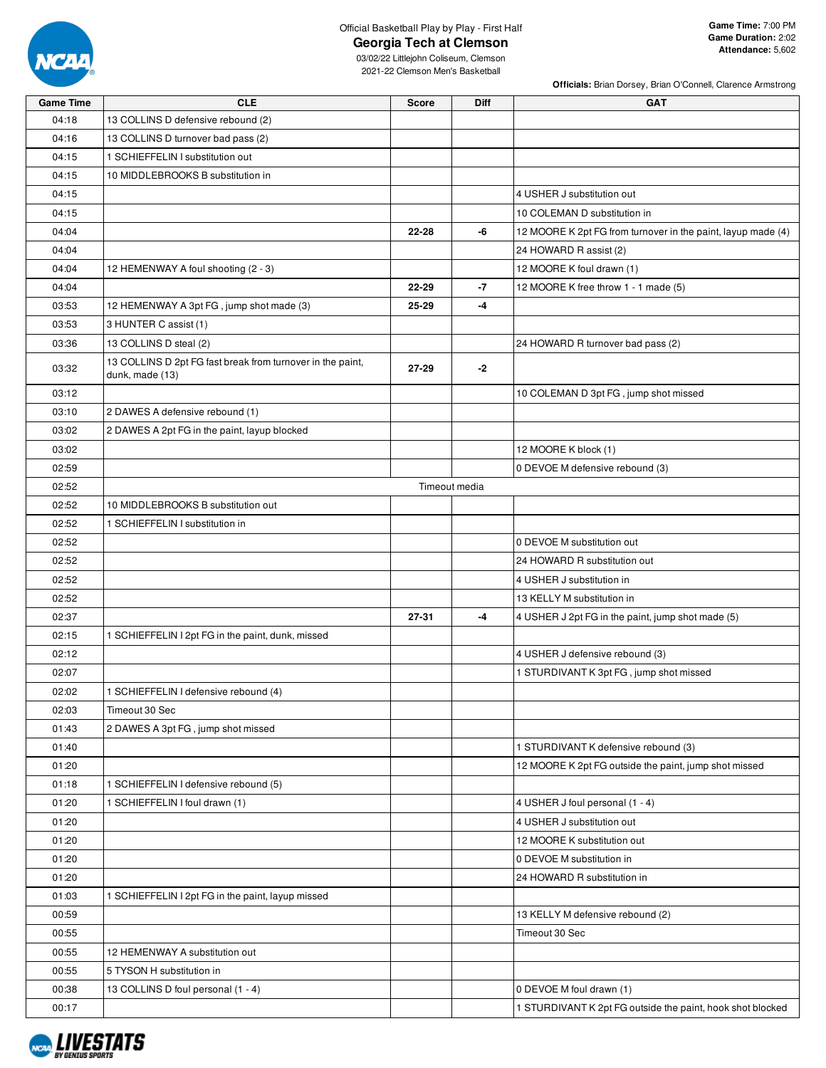

# Official Basketball Play by Play - First Half

**Georgia Tech at Clemson**

**Officials:** Brian Dorsey, Brian O'Connell, Clarence Armstrong

| <b>Game Time</b> | <b>CLE</b>                                                                    | <b>Score</b> | Diff          | <b>GAT</b>                                                   |
|------------------|-------------------------------------------------------------------------------|--------------|---------------|--------------------------------------------------------------|
| 04:18            | 13 COLLINS D defensive rebound (2)                                            |              |               |                                                              |
| 04:16            | 13 COLLINS D turnover bad pass (2)                                            |              |               |                                                              |
| 04:15            | 1 SCHIEFFELIN I substitution out                                              |              |               |                                                              |
| 04:15            | 10 MIDDLEBROOKS B substitution in                                             |              |               |                                                              |
| 04:15            |                                                                               |              |               | 4 USHER J substitution out                                   |
| 04:15            |                                                                               |              |               | 10 COLEMAN D substitution in                                 |
| 04:04            |                                                                               | 22-28        | -6            | 12 MOORE K 2pt FG from turnover in the paint, layup made (4) |
| 04:04            |                                                                               |              |               | 24 HOWARD R assist (2)                                       |
| 04:04            | 12 HEMENWAY A foul shooting (2 - 3)                                           |              |               | 12 MOORE K foul drawn (1)                                    |
| 04:04            |                                                                               | 22-29        | $-7$          | 12 MOORE K free throw 1 - 1 made (5)                         |
| 03:53            | 12 HEMENWAY A 3pt FG, jump shot made (3)                                      | 25-29        | $-4$          |                                                              |
| 03:53            | 3 HUNTER C assist (1)                                                         |              |               |                                                              |
| 03:36            | 13 COLLINS D steal (2)                                                        |              |               | 24 HOWARD R turnover bad pass (2)                            |
| 03:32            | 13 COLLINS D 2pt FG fast break from turnover in the paint,<br>dunk, made (13) | 27-29        | $-2$          |                                                              |
| 03:12            |                                                                               |              |               | 10 COLEMAN D 3pt FG, jump shot missed                        |
| 03:10            | 2 DAWES A defensive rebound (1)                                               |              |               |                                                              |
| 03:02            | 2 DAWES A 2pt FG in the paint, layup blocked                                  |              |               |                                                              |
| 03:02            |                                                                               |              |               | 12 MOORE K block (1)                                         |
| 02:59            |                                                                               |              |               | 0 DEVOE M defensive rebound (3)                              |
| 02:52            |                                                                               |              | Timeout media |                                                              |
| 02:52            | 10 MIDDLEBROOKS B substitution out                                            |              |               |                                                              |
| 02:52            | 1 SCHIEFFELIN I substitution in                                               |              |               |                                                              |
| 02:52            |                                                                               |              |               | 0 DEVOE M substitution out                                   |
| 02:52            |                                                                               |              |               | 24 HOWARD R substitution out                                 |
| 02:52            |                                                                               |              |               | 4 USHER J substitution in                                    |
| 02:52            |                                                                               |              |               | 13 KELLY M substitution in                                   |
| 02:37            |                                                                               | 27-31        | $-4$          | 4 USHER J 2pt FG in the paint, jump shot made (5)            |
| 02:15            | 1 SCHIEFFELIN I 2pt FG in the paint, dunk, missed                             |              |               |                                                              |
| 02:12            |                                                                               |              |               | 4 USHER J defensive rebound (3)                              |
| 02:07            |                                                                               |              |               | 1 STURDIVANT K 3pt FG, jump shot missed                      |
| 02:02            | 1 SCHIEFFELIN I defensive rebound (4)                                         |              |               |                                                              |
| 02:03            | Timeout 30 Sec                                                                |              |               |                                                              |
| 01:43            | 2 DAWES A 3pt FG, jump shot missed                                            |              |               |                                                              |
| 01:40            |                                                                               |              |               | 1 STURDIVANT K defensive rebound (3)                         |
| 01:20            |                                                                               |              |               | 12 MOORE K 2pt FG outside the paint, jump shot missed        |
| 01:18            | 1 SCHIEFFELIN I defensive rebound (5)                                         |              |               |                                                              |
| 01:20            | 1 SCHIEFFELIN I foul drawn (1)                                                |              |               | 4 USHER J foul personal (1 - 4)                              |
| 01:20            |                                                                               |              |               | 4 USHER J substitution out                                   |
| 01:20            |                                                                               |              |               | 12 MOORE K substitution out                                  |
| 01:20            |                                                                               |              |               | 0 DEVOE M substitution in                                    |
| 01:20            |                                                                               |              |               | 24 HOWARD R substitution in                                  |
| 01:03            | 1 SCHIEFFELIN I 2pt FG in the paint, layup missed                             |              |               |                                                              |
| 00:59            |                                                                               |              |               | 13 KELLY M defensive rebound (2)                             |
| 00:55            |                                                                               |              |               | Timeout 30 Sec                                               |
| 00:55            | 12 HEMENWAY A substitution out                                                |              |               |                                                              |
| 00:55            | 5 TYSON H substitution in                                                     |              |               |                                                              |
| 00:38            | 13 COLLINS D foul personal (1 - 4)                                            |              |               | 0 DEVOE M foul drawn (1)                                     |
| 00:17            |                                                                               |              |               | 1 STURDIVANT K 2pt FG outside the paint, hook shot blocked   |

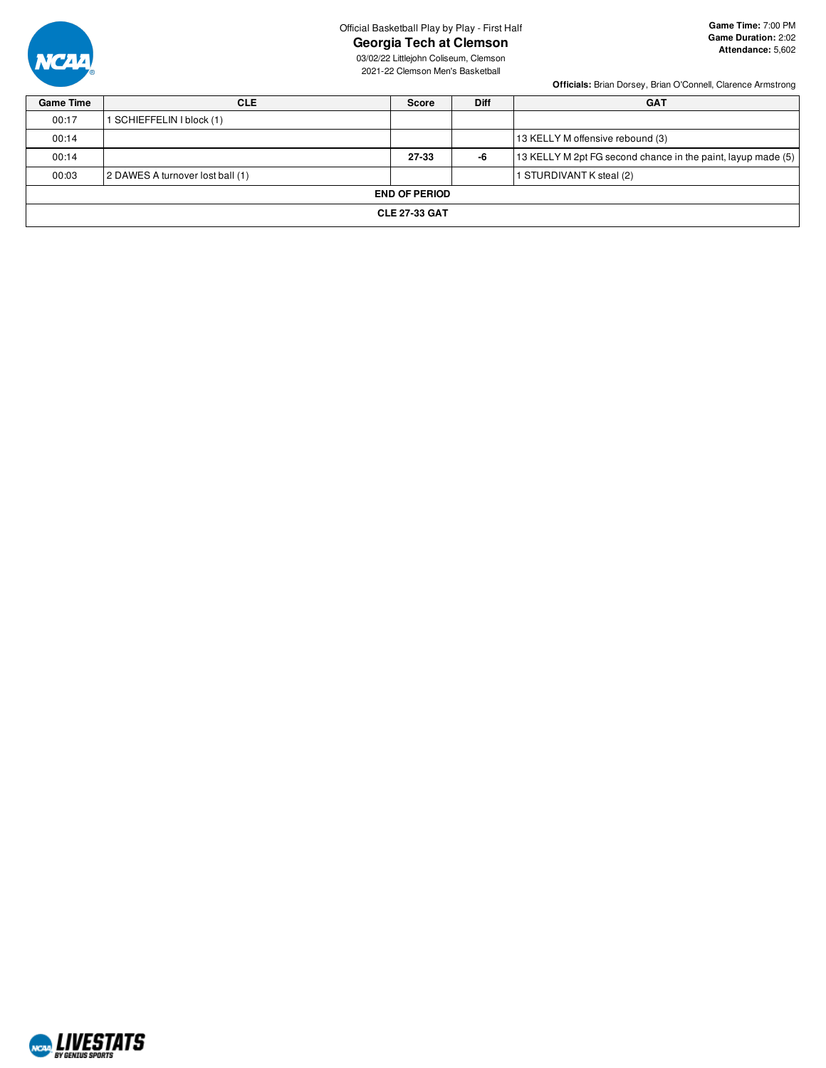

### Official Basketball Play by Play - First Half

**Georgia Tech at Clemson**

**Game Time:** 7:00 PM **Game Duration:** 2:02 **Attendance:** 5,602

03/02/22 Littlejohn Coliseum, Clemson 2021-22 Clemson Men's Basketball

**Officials:** Brian Dorsey, Brian O'Connell, Clarence Armstrong

| <b>Game Time</b> | <b>CLE</b>                       | <b>Score</b>         | <b>Diff</b> | <b>GAT</b>                                                   |
|------------------|----------------------------------|----------------------|-------------|--------------------------------------------------------------|
| 00:17            | SCHIEFFELIN I block (1)          |                      |             |                                                              |
| 00:14            |                                  |                      |             | 13 KELLY M offensive rebound (3)                             |
| 00:14            |                                  | 27-33                | -6          | 13 KELLY M 2pt FG second chance in the paint, layup made (5) |
| 00:03            | 2 DAWES A turnover lost ball (1) |                      |             | 1 STURDIVANT K steal (2)                                     |
|                  |                                  | <b>END OF PERIOD</b> |             |                                                              |
|                  |                                  | <b>CLE 27-33 GAT</b> |             |                                                              |
|                  |                                  |                      |             |                                                              |

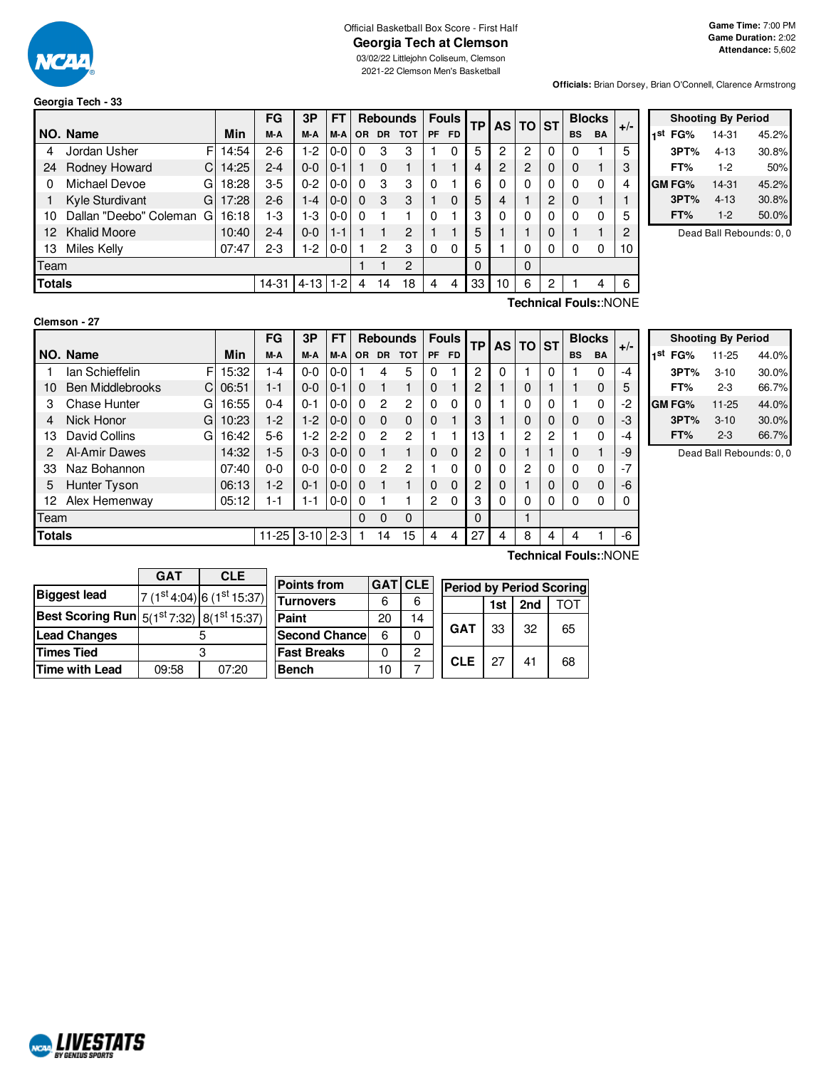

# Official Basketball Box Score - First Half **Georgia Tech at Clemson**

03/02/22 Littlejohn Coliseum, Clemson 2021-22 Clemson Men's Basketball

**Officials:** Brian Dorsey, Brian O'Connell, Clarence Armstrong

# **Georgia Tech - 33**

|               |                        |   |       | FG      | 3P       | FΤ      |                |           | <b>Rebounds</b> |    | <b>Fouls</b> | <b>TP</b> |    | AS TO ST |   |              | <b>Blocks</b> | $+/-$ |
|---------------|------------------------|---|-------|---------|----------|---------|----------------|-----------|-----------------|----|--------------|-----------|----|----------|---|--------------|---------------|-------|
|               | NO. Name               |   | Min   | M-A     | M-A      | M-A     | <b>OR</b>      | <b>DR</b> | <b>TOT</b>      | PF | FD.          |           |    |          |   | <b>BS</b>    | <b>BA</b>     |       |
| 4             | Jordan Usher           | F | 14:54 | $2-6$   | $1-2$    | $0-0$   | 0              | З         | 3               |    | 0            | 5         | 2  | 2        | 0 | 0            |               | 5     |
| 24            | Rodney Howard          | С | 14:25 | $2 - 4$ | $0 - 0$  | $0 - 1$ |                |           |                 |    |              | 4         | 2  | 2        | 0 | 0            |               | 3     |
| 0             | Michael Devoe          | G | 18:28 | $3-5$   | $0 - 2$  | $0-0$   | 0              | 3         | 3               | 0  |              | 6         | 0  | 0        | 0 | $\mathbf{0}$ | 0             | 4     |
|               | Kyle Sturdivant        | G | 17:28 | $2-6$   | $1-4$    | $0 - 0$ | 0              | 3         | 3               |    | 0            | 5         | 4  |          | 2 | $\Omega$     |               |       |
| 10            | Dallan "Deebo" Coleman | G | 16:18 | 1-3     | 1-3      | $0 - 0$ | O              |           |                 | 0  |              | 3         | 0  | 0        | 0 | 0            | 0             | 5     |
| $12^{\circ}$  | <b>Khalid Moore</b>    |   | 10:40 | $2 - 4$ | $0 - 0$  | $1 - 1$ |                |           | 2               |    |              | 5         |    |          | 0 |              |               | 2     |
| 13            | Miles Kelly            |   | 07:47 | $2 - 3$ | $1-2$    | $0-0$   |                | 2         | 3               | 0  | 0            | 5         |    | 0        | 0 | 0            | 0             | 10    |
| Team          |                        |   |       |         |          |         | $\overline{2}$ |           |                 | 0  |              | $\Omega$  |    |          |   |              |               |       |
| <b>Totals</b> |                        |   |       | 14-31   | $4 - 13$ | $1-2$   | 4              | 14        | 18              | 4  | 4            | 33        | 10 | 6        | 2 |              | 4             | 6     |

| <b>Shooting By Period</b> |               |          |       |  |  |
|---------------------------|---------------|----------|-------|--|--|
| 1st                       | FG%           | 14-31    | 45.2% |  |  |
|                           | 3PT%          | $4 - 13$ | 30.8% |  |  |
|                           | FT%           | $1-2$    | 50%   |  |  |
|                           | <b>GM FG%</b> | 14-31    | 45.2% |  |  |
|                           | 3PT%          | $4 - 13$ | 30.8% |  |  |
|                           | FT%           | $1-2$    | 50.0% |  |  |

Dead Ball Rebounds: 0, 0

| Clemson - 27 |  |
|--------------|--|
|              |  |

**Technical Fouls:**:NONE

|               |                              |       | FG      | 3P       | FT      |          |           | <b>Rebounds</b> |    | <b>Fouls</b> | <b>TP</b>      | <b>AS</b> | <b>TO</b> | <b>ST</b> | <b>Blocks</b> |             |       |
|---------------|------------------------------|-------|---------|----------|---------|----------|-----------|-----------------|----|--------------|----------------|-----------|-----------|-----------|---------------|-------------|-------|
|               | NO. Name                     | Min   | M-A     | M-A      | M-A     | OR.      | <b>DR</b> | <b>TOT</b>      | PF | <b>FD</b>    |                |           |           |           | <b>BS</b>     | <b>BA</b>   | $+/-$ |
|               | F<br>lan Schieffelin         | 15:32 | 1-4     | $0-0$    | $0-0$   |          | 4         | 5               | 0  |              | $\overline{c}$ | 0         |           | 0         |               | 0           | -4    |
| 10            | <b>Ben Middlebrooks</b><br>C | 06:51 | 1-1     | $0-0$    | $0 - 1$ | 0        |           | 1               | 0  |              | 2              |           | $\Omega$  |           |               | 0           | 5     |
| 3             | Chase Hunter<br>G            | 16:55 | $0 - 4$ | $0 - 1$  | $0-0$   | $\Omega$ | 2         | 2               | 0  | 0            | 0              |           | 0         | 0         |               | 0           | $-2$  |
| 4             | Nick Honor<br>G              | 10:23 | $1-2$   | $1-2$    | $0-0$   | $\Omega$ | $\Omega$  | $\mathbf 0$     | 0  |              | 3              |           | $\Omega$  | $\Omega$  | 0             | $\mathbf 0$ | -3    |
| 13            | David Collins<br>G           | 16:42 | 5-6     | $1-2$    | $2 - 2$ | $\Omega$ | 2         | 2               |    |              | 13             |           | 2         | 2         |               | 0           | $-4$  |
| 2             | Al-Amir Dawes                | 14:32 | 1-5     | $0 - 3$  | $0 - 0$ | $\Omega$ |           | 1               | 0  | $\Omega$     | 2              | 0         |           |           | 0             | ٠           | -9    |
| 33            | Naz Bohannon                 | 07:40 | 0-0     | $0-0$    | $0-0$   | $\Omega$ | 2         | 2               |    | 0            | 0              | 0         | 2         | 0         | 0             | 0           | $-7$  |
| 5             | Hunter Tyson                 | 06:13 | $1-2$   | $0 - 1$  | $0 - 0$ | $\Omega$ |           |                 | 0  | $\Omega$     | 2              | 0         |           | 0         | $\Omega$      | 0           | -6    |
| 12            | Alex Hemenway                | 05:12 | 1-1     | $1 - 1$  | $0-0$   | 0        |           |                 | 2  | 0            | 3              | 0         | 0         | 0         | 0             | 0           | 0     |
| Team          |                              |       |         |          |         | 0        | 0         | 0               |    |              | $\Omega$       |           |           |           |               |             |       |
| <b>Totals</b> |                              |       | 11-25   | $3 - 10$ | $2 - 3$ |          | 14        | 15              | 4  | 4            | 27             | 4         | 8         | 4         | 4             |             | -6    |
|               | <b>T.L. L.L. P. L. MONIT</b> |       |         |          |         |          |           |                 |    |              |                |           |           |           |               |             |       |

|     |        | <b>Shooting By Period</b> |       |
|-----|--------|---------------------------|-------|
| 1st | FG%    | 11-25                     | 44.0% |
|     | 3PT%   | $3 - 10$                  | 30.0% |
|     | FT%    | 2-3                       | 66.7% |
|     | GM FG% | 11-25                     | 44.0% |
|     | 3PT%   | $3 - 10$                  | 30.0% |
|     | FT%    | $2 - 3$                   | 66.7% |

Dead Ball Rebounds: 0, 0

|                                                                  | <b>GAT</b> | <b>CLE</b>              |
|------------------------------------------------------------------|------------|-------------------------|
| <b>Biggest lead</b>                                              |            | $7(1st4:04)6(1st15:37)$ |
| <b>Best Scoring Run</b> $5(1^{st}7:32)$ 8(1 <sup>st</sup> 15:37) |            |                         |
| <b>Lead Changes</b>                                              |            |                         |
| <b>Times Tied</b>                                                |            | з                       |
| <b>Time with Lead</b>                                            | 09:58      | 07:20                   |

| <b>Points from</b>   |    | GAT CLE | Pe |
|----------------------|----|---------|----|
| <b>Turnovers</b>     | 6  | 6       |    |
| Paint                | 20 | 14      |    |
| <b>Second Chance</b> | հ  | 0       | G  |
| <b>Fast Breaks</b>   | ŋ  | 2       | C  |
| <b>Bench</b>         | 10 |         |    |

| <b>Period by Period Scoring</b> |     |     |     |  |  |  |  |  |
|---------------------------------|-----|-----|-----|--|--|--|--|--|
|                                 | 1st | 2nd | TOT |  |  |  |  |  |
| <b>GAT</b>                      | 33  | 32  | 65  |  |  |  |  |  |
| <b>CLE</b>                      | 27  | 41  | 68  |  |  |  |  |  |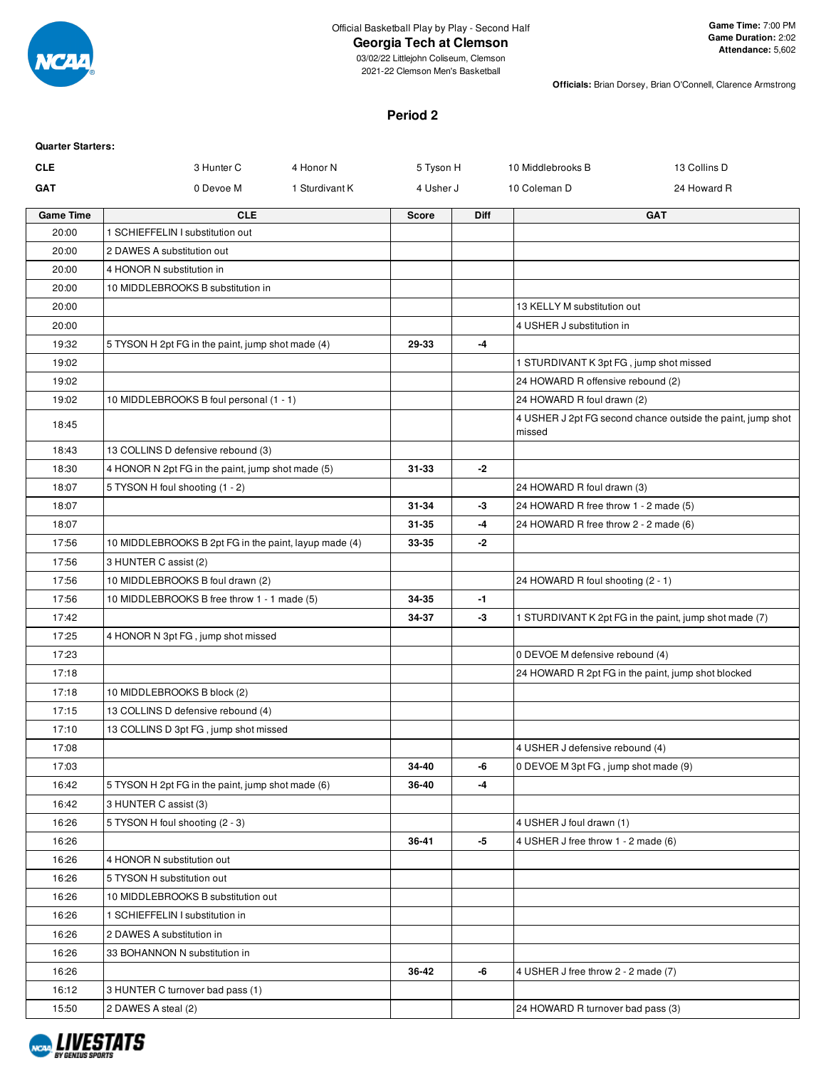

### **Georgia Tech at Clemson**

**Officials:** Brian Dorsey, Brian O'Connell, Clarence Armstrong

#### **Period 2**

| <b>Quarter Starters:</b> |                                                       |                |              |             |                                         |                                                             |
|--------------------------|-------------------------------------------------------|----------------|--------------|-------------|-----------------------------------------|-------------------------------------------------------------|
| <b>CLE</b>               | 3 Hunter C                                            | 4 Honor N      | 5 Tyson H    |             | 10 Middlebrooks B                       | 13 Collins D                                                |
| <b>GAT</b>               | 0 Devoe M                                             | 1 Sturdivant K | 4 Usher J    |             | 10 Coleman D                            | 24 Howard R                                                 |
| <b>Game Time</b>         | <b>CLE</b>                                            |                | <b>Score</b> | <b>Diff</b> |                                         | <b>GAT</b>                                                  |
| 20:00                    | 1 SCHIEFFELIN I substitution out                      |                |              |             |                                         |                                                             |
| 20:00                    | 2 DAWES A substitution out                            |                |              |             |                                         |                                                             |
| 20:00                    | 4 HONOR N substitution in                             |                |              |             |                                         |                                                             |
| 20:00                    | 10 MIDDLEBROOKS B substitution in                     |                |              |             |                                         |                                                             |
| 20:00                    |                                                       |                |              |             | 13 KELLY M substitution out             |                                                             |
| 20:00                    |                                                       |                |              |             | 4 USHER J substitution in               |                                                             |
| 19:32                    | 5 TYSON H 2pt FG in the paint, jump shot made (4)     |                | 29-33        | $-4$        |                                         |                                                             |
| 19:02                    |                                                       |                |              |             | 1 STURDIVANT K 3pt FG, jump shot missed |                                                             |
| 19:02                    |                                                       |                |              |             | 24 HOWARD R offensive rebound (2)       |                                                             |
| 19:02                    | 10 MIDDLEBROOKS B foul personal (1 - 1)               |                |              |             | 24 HOWARD R foul drawn (2)              |                                                             |
| 18:45                    |                                                       |                |              |             | missed                                  | 4 USHER J 2pt FG second chance outside the paint, jump shot |
| 18:43                    | 13 COLLINS D defensive rebound (3)                    |                |              |             |                                         |                                                             |
| 18:30                    | 4 HONOR N 2pt FG in the paint, jump shot made (5)     |                | 31-33        | -2          |                                         |                                                             |
| 18:07                    | 5 TYSON H foul shooting (1 - 2)                       |                |              |             | 24 HOWARD R foul drawn (3)              |                                                             |
| 18:07                    |                                                       |                | 31-34        | -3          | 24 HOWARD R free throw 1 - 2 made (5)   |                                                             |
| 18:07                    |                                                       |                | 31-35        | -4          | 24 HOWARD R free throw 2 - 2 made (6)   |                                                             |
| 17:56                    | 10 MIDDLEBROOKS B 2pt FG in the paint, layup made (4) |                | 33-35        | -2          |                                         |                                                             |
| 17:56                    | 3 HUNTER C assist (2)                                 |                |              |             |                                         |                                                             |
| 17:56                    | 10 MIDDLEBROOKS B foul drawn (2)                      |                |              |             | 24 HOWARD R foul shooting (2 - 1)       |                                                             |
| 17:56                    | 10 MIDDLEBROOKS B free throw 1 - 1 made (5)           |                | 34-35        | $-1$        |                                         |                                                             |
| 17:42                    |                                                       |                | 34-37        | -3          |                                         | 1 STURDIVANT K 2pt FG in the paint, jump shot made (7)      |
| 17:25                    | 4 HONOR N 3pt FG, jump shot missed                    |                |              |             |                                         |                                                             |
| 17:23                    |                                                       |                |              |             | 0 DEVOE M defensive rebound (4)         |                                                             |
| 17:18                    |                                                       |                |              |             |                                         | 24 HOWARD R 2pt FG in the paint, jump shot blocked          |
| 17:18                    | 10 MIDDLEBROOKS B block (2)                           |                |              |             |                                         |                                                             |
| 17:15                    | 13 COLLINS D defensive rebound (4)                    |                |              |             |                                         |                                                             |
| 17:10                    | 13 COLLINS D 3pt FG, jump shot missed                 |                |              |             |                                         |                                                             |
| 17:08                    |                                                       |                |              |             | 4 USHER J defensive rebound (4)         |                                                             |
| 17:03                    |                                                       |                | 34-40        | -6          | 0 DEVOE M 3pt FG, jump shot made (9)    |                                                             |
| 16:42                    | 5 TYSON H 2pt FG in the paint, jump shot made (6)     |                | 36-40        | -4          |                                         |                                                             |
| 16:42                    | 3 HUNTER C assist (3)                                 |                |              |             |                                         |                                                             |
| 16:26                    | 5 TYSON H foul shooting (2 - 3)                       |                |              |             | 4 USHER J foul drawn (1)                |                                                             |
| 16:26                    |                                                       |                | 36-41        | -5          | 4 USHER J free throw 1 - 2 made (6)     |                                                             |
| 16:26                    | 4 HONOR N substitution out                            |                |              |             |                                         |                                                             |
| 16:26                    | 5 TYSON H substitution out                            |                |              |             |                                         |                                                             |
| 16:26                    | 10 MIDDLEBROOKS B substitution out                    |                |              |             |                                         |                                                             |
| 16:26                    | 1 SCHIEFFELIN I substitution in                       |                |              |             |                                         |                                                             |
| 16:26                    | 2 DAWES A substitution in                             |                |              |             |                                         |                                                             |
| 16:26                    | 33 BOHANNON N substitution in                         |                |              |             |                                         |                                                             |
| 16:26                    |                                                       |                | 36-42        | -6          | 4 USHER J free throw 2 - 2 made (7)     |                                                             |
| 16:12                    | 3 HUNTER C turnover bad pass (1)                      |                |              |             |                                         |                                                             |
| 15:50                    | 2 DAWES A steal (2)                                   |                |              |             | 24 HOWARD R turnover bad pass (3)       |                                                             |

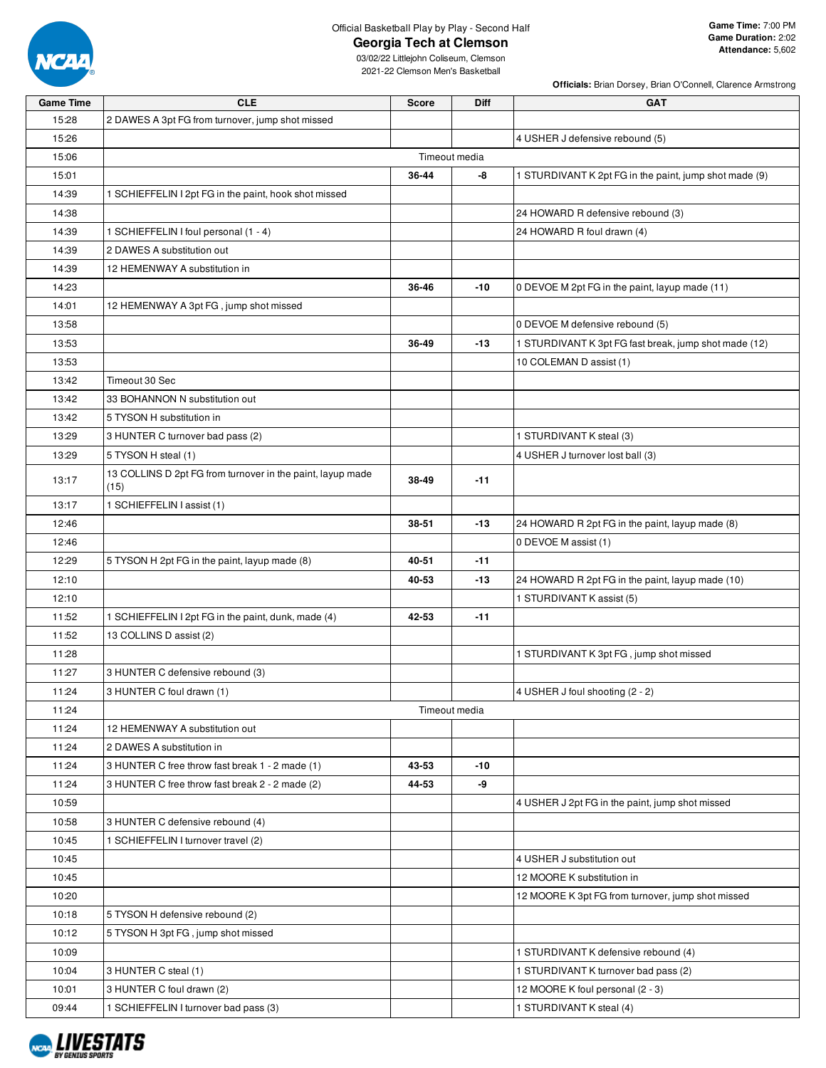

### **Georgia Tech at Clemson**

**Officials:** Brian Dorsey, Brian O'Connell, Clarence Armstrong

| <b>Game Time</b> | <b>CLE</b>                                                 | <b>Score</b> | Diff          | <b>GAT</b>                                             |
|------------------|------------------------------------------------------------|--------------|---------------|--------------------------------------------------------|
| 15:28            | 2 DAWES A 3pt FG from turnover, jump shot missed           |              |               |                                                        |
| 15:26            |                                                            |              |               | 4 USHER J defensive rebound (5)                        |
| 15:06            |                                                            |              | Timeout media |                                                        |
| 15:01            |                                                            | 36-44        | -8            | 1 STURDIVANT K 2pt FG in the paint, jump shot made (9) |
| 14:39            | 1 SCHIEFFELIN I 2pt FG in the paint, hook shot missed      |              |               |                                                        |
| 14:38            |                                                            |              |               | 24 HOWARD R defensive rebound (3)                      |
| 14:39            | 1 SCHIEFFELIN I foul personal (1 - 4)                      |              |               | 24 HOWARD R foul drawn (4)                             |
| 14:39            | 2 DAWES A substitution out                                 |              |               |                                                        |
| 14:39            | 12 HEMENWAY A substitution in                              |              |               |                                                        |
| 14:23            |                                                            | 36-46        | $-10$         | 0 DEVOE M 2pt FG in the paint, layup made (11)         |
| 14:01            | 12 HEMENWAY A 3pt FG, jump shot missed                     |              |               |                                                        |
| 13:58            |                                                            |              |               | 0 DEVOE M defensive rebound (5)                        |
| 13:53            |                                                            | 36-49        | $-13$         | 1 STURDIVANT K 3pt FG fast break, jump shot made (12)  |
| 13:53            |                                                            |              |               | 10 COLEMAN D assist (1)                                |
| 13:42            | Timeout 30 Sec                                             |              |               |                                                        |
| 13:42            | 33 BOHANNON N substitution out                             |              |               |                                                        |
| 13:42            | 5 TYSON H substitution in                                  |              |               |                                                        |
| 13:29            | 3 HUNTER C turnover bad pass (2)                           |              |               | 1 STURDIVANT K steal (3)                               |
| 13:29            | 5 TYSON H steal (1)                                        |              |               | 4 USHER J turnover lost ball (3)                       |
|                  | 13 COLLINS D 2pt FG from turnover in the paint, layup made |              |               |                                                        |
| 13:17            | (15)                                                       | 38-49        | $-11$         |                                                        |
| 13:17            | 1 SCHIEFFELIN I assist (1)                                 |              |               |                                                        |
| 12:46            |                                                            | 38-51        | $-13$         | 24 HOWARD R 2pt FG in the paint, layup made (8)        |
| 12:46            |                                                            |              |               | 0 DEVOE M assist (1)                                   |
| 12:29            | 5 TYSON H 2pt FG in the paint, layup made (8)              | 40-51        | $-11$         |                                                        |
| 12:10            |                                                            | 40-53        | $-13$         | 24 HOWARD R 2pt FG in the paint, layup made (10)       |
| 12:10            |                                                            |              |               | 1 STURDIVANT K assist (5)                              |
| 11:52            | 1 SCHIEFFELIN I 2pt FG in the paint, dunk, made (4)        | 42-53        | $-11$         |                                                        |
| 11:52            | 13 COLLINS D assist (2)                                    |              |               |                                                        |
| 11:28            |                                                            |              |               | 1 STURDIVANT K 3pt FG, jump shot missed                |
| 11:27            | 3 HUNTER C defensive rebound (3)                           |              |               |                                                        |
| 11:24            | 3 HUNTER C foul drawn (1)                                  |              |               | 4 USHER J foul shooting (2 - 2)                        |
| 11:24            |                                                            |              | Timeout media |                                                        |
| 11:24            | 12 HEMENWAY A substitution out                             |              |               |                                                        |
| 11:24            | 2 DAWES A substitution in                                  |              |               |                                                        |
| 11:24            | 3 HUNTER C free throw fast break 1 - 2 made (1)            | 43-53        | -10           |                                                        |
| 11:24            | 3 HUNTER C free throw fast break 2 - 2 made (2)            | 44-53        | -9            |                                                        |
| 10:59            |                                                            |              |               | 4 USHER J 2pt FG in the paint, jump shot missed        |
| 10:58            | 3 HUNTER C defensive rebound (4)                           |              |               |                                                        |
| 10:45            | 1 SCHIEFFELIN I turnover travel (2)                        |              |               |                                                        |
| 10:45            |                                                            |              |               | 4 USHER J substitution out                             |
| 10:45            |                                                            |              |               | 12 MOORE K substitution in                             |
| 10:20            |                                                            |              |               | 12 MOORE K 3pt FG from turnover, jump shot missed      |
| 10:18            | 5 TYSON H defensive rebound (2)                            |              |               |                                                        |
| 10:12            | 5 TYSON H 3pt FG, jump shot missed                         |              |               |                                                        |
| 10:09            |                                                            |              |               | 1 STURDIVANT K defensive rebound (4)                   |
| 10:04            | 3 HUNTER C steal (1)                                       |              |               | 1 STURDIVANT K turnover bad pass (2)                   |
| 10:01            | 3 HUNTER C foul drawn (2)                                  |              |               | 12 MOORE K foul personal (2 - 3)                       |
| 09:44            | 1 SCHIEFFELIN I turnover bad pass (3)                      |              |               | 1 STURDIVANT K steal (4)                               |

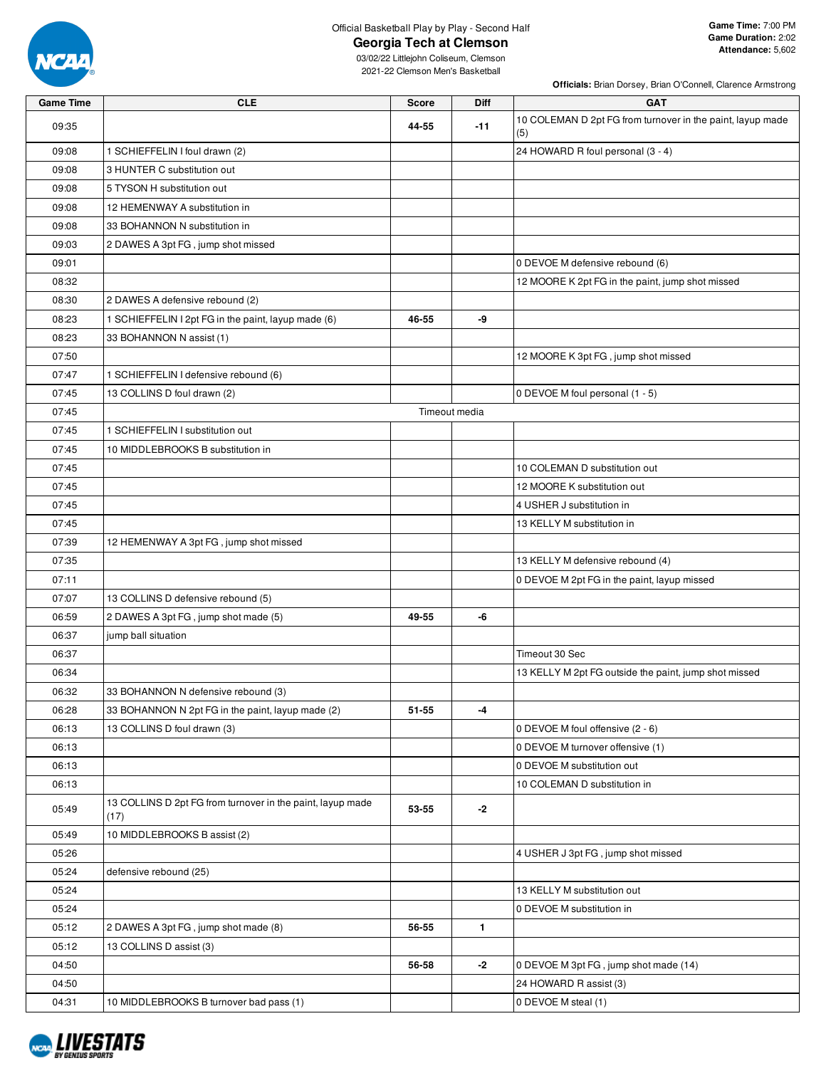

### **Georgia Tech at Clemson**

**Officials:** Brian Dorsey, Brian O'Connell, Clarence Armstrong

| <b>Game Time</b> | <b>CLE</b>                                                         | <b>Score</b> | <b>Diff</b>   | <b>GAT</b>                                                        |
|------------------|--------------------------------------------------------------------|--------------|---------------|-------------------------------------------------------------------|
| 09:35            |                                                                    | 44-55        | $-11$         | 10 COLEMAN D 2pt FG from turnover in the paint, layup made<br>(5) |
| 09:08            | 1 SCHIEFFELIN I foul drawn (2)                                     |              |               | 24 HOWARD R foul personal (3 - 4)                                 |
| 09:08            | 3 HUNTER C substitution out                                        |              |               |                                                                   |
| 09:08            | 5 TYSON H substitution out                                         |              |               |                                                                   |
| 09:08            | 12 HEMENWAY A substitution in                                      |              |               |                                                                   |
| 09:08            | 33 BOHANNON N substitution in                                      |              |               |                                                                   |
| 09:03            | 2 DAWES A 3pt FG, jump shot missed                                 |              |               |                                                                   |
| 09:01            |                                                                    |              |               | 0 DEVOE M defensive rebound (6)                                   |
| 08:32            |                                                                    |              |               | 12 MOORE K 2pt FG in the paint, jump shot missed                  |
| 08:30            | 2 DAWES A defensive rebound (2)                                    |              |               |                                                                   |
| 08:23            | 1 SCHIEFFELIN I 2pt FG in the paint, layup made (6)                | 46-55        | -9            |                                                                   |
| 08:23            | 33 BOHANNON N assist (1)                                           |              |               |                                                                   |
| 07:50            |                                                                    |              |               | 12 MOORE K 3pt FG, jump shot missed                               |
| 07:47            | 1 SCHIEFFELIN I defensive rebound (6)                              |              |               |                                                                   |
| 07:45            | 13 COLLINS D foul drawn (2)                                        |              |               | 0 DEVOE M foul personal (1 - 5)                                   |
| 07:45            |                                                                    |              | Timeout media |                                                                   |
| 07:45            | 1 SCHIEFFELIN I substitution out                                   |              |               |                                                                   |
| 07:45            | 10 MIDDLEBROOKS B substitution in                                  |              |               |                                                                   |
| 07:45            |                                                                    |              |               | 10 COLEMAN D substitution out                                     |
| 07:45            |                                                                    |              |               | 12 MOORE K substitution out                                       |
| 07:45            |                                                                    |              |               | 4 USHER J substitution in                                         |
| 07:45            |                                                                    |              |               | 13 KELLY M substitution in                                        |
| 07:39            | 12 HEMENWAY A 3pt FG, jump shot missed                             |              |               |                                                                   |
| 07:35            |                                                                    |              |               | 13 KELLY M defensive rebound (4)                                  |
| 07:11            |                                                                    |              |               | 0 DEVOE M 2pt FG in the paint, layup missed                       |
| 07:07            | 13 COLLINS D defensive rebound (5)                                 |              |               |                                                                   |
| 06:59            | 2 DAWES A 3pt FG, jump shot made (5)                               | 49-55        | -6            |                                                                   |
| 06:37            | jump ball situation                                                |              |               |                                                                   |
| 06:37            |                                                                    |              |               | Timeout 30 Sec                                                    |
| 06:34            |                                                                    |              |               | 13 KELLY M 2pt FG outside the paint, jump shot missed             |
| 06:32            | 33 BOHANNON N defensive rebound (3)                                |              |               |                                                                   |
| 06:28            | 33 BOHANNON N 2pt FG in the paint, layup made (2)                  | 51-55        | -4            |                                                                   |
| 06:13            | 13 COLLINS D foul drawn (3)                                        |              |               | 0 DEVOE M foul offensive (2 - 6)                                  |
| 06:13            |                                                                    |              |               | 0 DEVOE M turnover offensive (1)                                  |
| 06:13            |                                                                    |              |               | 0 DEVOE M substitution out                                        |
| 06:13            |                                                                    |              |               | 10 COLEMAN D substitution in                                      |
| 05:49            | 13 COLLINS D 2pt FG from turnover in the paint, layup made<br>(17) | 53-55        | -2            |                                                                   |
| 05:49            | 10 MIDDLEBROOKS B assist (2)                                       |              |               |                                                                   |
| 05:26            |                                                                    |              |               | 4 USHER J 3pt FG, jump shot missed                                |
| 05:24            | defensive rebound (25)                                             |              |               |                                                                   |
| 05:24            |                                                                    |              |               | 13 KELLY M substitution out                                       |
| 05:24            |                                                                    |              |               | 0 DEVOE M substitution in                                         |
| 05:12            | 2 DAWES A 3pt FG, jump shot made (8)                               | 56-55        | $\mathbf{1}$  |                                                                   |
| 05:12            | 13 COLLINS D assist (3)                                            |              |               |                                                                   |
| 04:50            |                                                                    | 56-58        | $-2$          | 0 DEVOE M 3pt FG, jump shot made (14)                             |
| 04:50            |                                                                    |              |               | 24 HOWARD R assist (3)                                            |
| 04:31            | 10 MIDDLEBROOKS B turnover bad pass (1)                            |              |               | 0 DEVOE M steal (1)                                               |

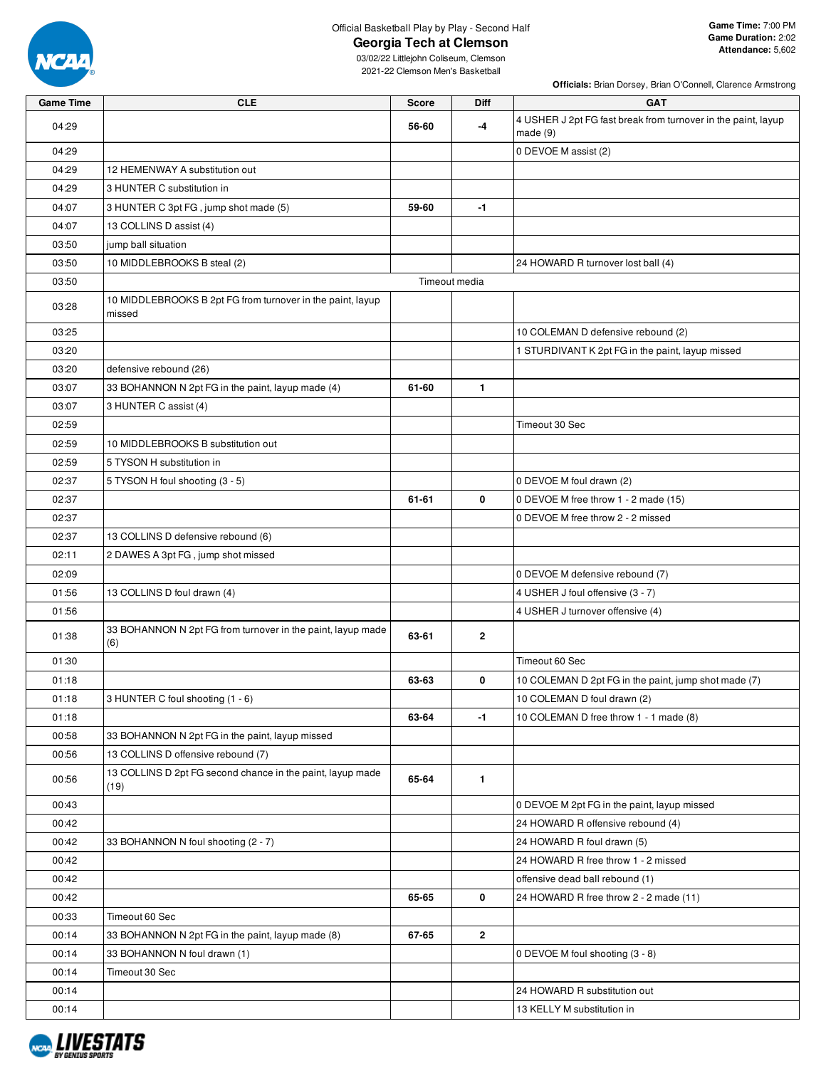

**Georgia Tech at Clemson**

**Officials:** Brian Dorsey, Brian O'Connell, Clarence Armstrong

| <b>Game Time</b> | <b>CLE</b>                                                           | <b>Score</b>  | Diff         | <b>GAT</b>                                                                  |
|------------------|----------------------------------------------------------------------|---------------|--------------|-----------------------------------------------------------------------------|
| 04:29            |                                                                      | 56-60         | -4           | 4 USHER J 2pt FG fast break from turnover in the paint, layup<br>made $(9)$ |
| 04:29            |                                                                      |               |              | 0 DEVOE M assist (2)                                                        |
| 04:29            | 12 HEMENWAY A substitution out                                       |               |              |                                                                             |
| 04:29            | 3 HUNTER C substitution in                                           |               |              |                                                                             |
| 04:07            | 3 HUNTER C 3pt FG, jump shot made (5)                                | 59-60         | $-1$         |                                                                             |
| 04:07            | 13 COLLINS D assist (4)                                              |               |              |                                                                             |
| 03:50            | jump ball situation                                                  |               |              |                                                                             |
| 03:50            | 10 MIDDLEBROOKS B steal (2)                                          |               |              | 24 HOWARD R turnover lost ball (4)                                          |
| 03:50            |                                                                      | Timeout media |              |                                                                             |
| 03:28            | 10 MIDDLEBROOKS B 2pt FG from turnover in the paint, layup<br>missed |               |              |                                                                             |
| 03:25            |                                                                      |               |              | 10 COLEMAN D defensive rebound (2)                                          |
| 03:20            |                                                                      |               |              | 1 STURDIVANT K 2pt FG in the paint, layup missed                            |
| 03:20            | defensive rebound (26)                                               |               |              |                                                                             |
| 03:07            | 33 BOHANNON N 2pt FG in the paint, layup made (4)                    | 61-60         | 1.           |                                                                             |
| 03:07            | 3 HUNTER C assist (4)                                                |               |              |                                                                             |
| 02:59            |                                                                      |               |              | Timeout 30 Sec                                                              |
| 02:59            | 10 MIDDLEBROOKS B substitution out                                   |               |              |                                                                             |
| 02:59            | 5 TYSON H substitution in                                            |               |              |                                                                             |
| 02:37            | 5 TYSON H foul shooting (3 - 5)                                      |               |              | 0 DEVOE M foul drawn (2)                                                    |
| 02:37            |                                                                      | 61-61         | 0            | 0 DEVOE M free throw 1 - 2 made (15)                                        |
| 02:37            |                                                                      |               |              | 0 DEVOE M free throw 2 - 2 missed                                           |
| 02:37            | 13 COLLINS D defensive rebound (6)                                   |               |              |                                                                             |
| 02:11            | 2 DAWES A 3pt FG, jump shot missed                                   |               |              |                                                                             |
| 02:09            |                                                                      |               |              | 0 DEVOE M defensive rebound (7)                                             |
| 01:56            | 13 COLLINS D foul drawn (4)                                          |               |              | 4 USHER J foul offensive (3 - 7)                                            |
| 01:56            |                                                                      |               |              | 4 USHER J turnover offensive (4)                                            |
| 01:38            | 33 BOHANNON N 2pt FG from turnover in the paint, layup made<br>(6)   | 63-61         | $\mathbf{2}$ |                                                                             |
| 01:30            |                                                                      |               |              | Timeout 60 Sec                                                              |
| 01:18            |                                                                      | 63-63         | 0            | 10 COLEMAN D 2pt FG in the paint, jump shot made (7)                        |
| 01:18            | 3 HUNTER C foul shooting (1 - 6)                                     |               |              | 10 COLEMAN D foul drawn (2)                                                 |
| 01:18            |                                                                      | 63-64         | $-1$         | 10 COLEMAN D free throw 1 - 1 made (8)                                      |
| 00:58            | 33 BOHANNON N 2pt FG in the paint, layup missed                      |               |              |                                                                             |
| 00:56            | 13 COLLINS D offensive rebound (7)                                   |               |              |                                                                             |
| 00:56            | 13 COLLINS D 2pt FG second chance in the paint, layup made<br>(19)   | 65-64         | $\mathbf{1}$ |                                                                             |
| 00:43            |                                                                      |               |              | 0 DEVOE M 2pt FG in the paint, layup missed                                 |
| 00:42            |                                                                      |               |              | 24 HOWARD R offensive rebound (4)                                           |
| 00:42            | 33 BOHANNON N foul shooting (2 - 7)                                  |               |              | 24 HOWARD R foul drawn (5)                                                  |
| 00:42            |                                                                      |               |              | 24 HOWARD R free throw 1 - 2 missed                                         |
| 00:42            |                                                                      |               |              | offensive dead ball rebound (1)                                             |
| 00:42            |                                                                      | 65-65         | 0            | 24 HOWARD R free throw 2 - 2 made (11)                                      |
| 00:33            | Timeout 60 Sec                                                       |               |              |                                                                             |
| 00:14            | 33 BOHANNON N 2pt FG in the paint, layup made (8)                    | 67-65         | $\mathbf{2}$ |                                                                             |
| 00:14            | 33 BOHANNON N foul drawn (1)                                         |               |              | 0 DEVOE M foul shooting (3 - 8)                                             |
| 00:14            | Timeout 30 Sec                                                       |               |              |                                                                             |
| 00:14            |                                                                      |               |              | 24 HOWARD R substitution out                                                |
| 00:14            |                                                                      |               |              | 13 KELLY M substitution in                                                  |

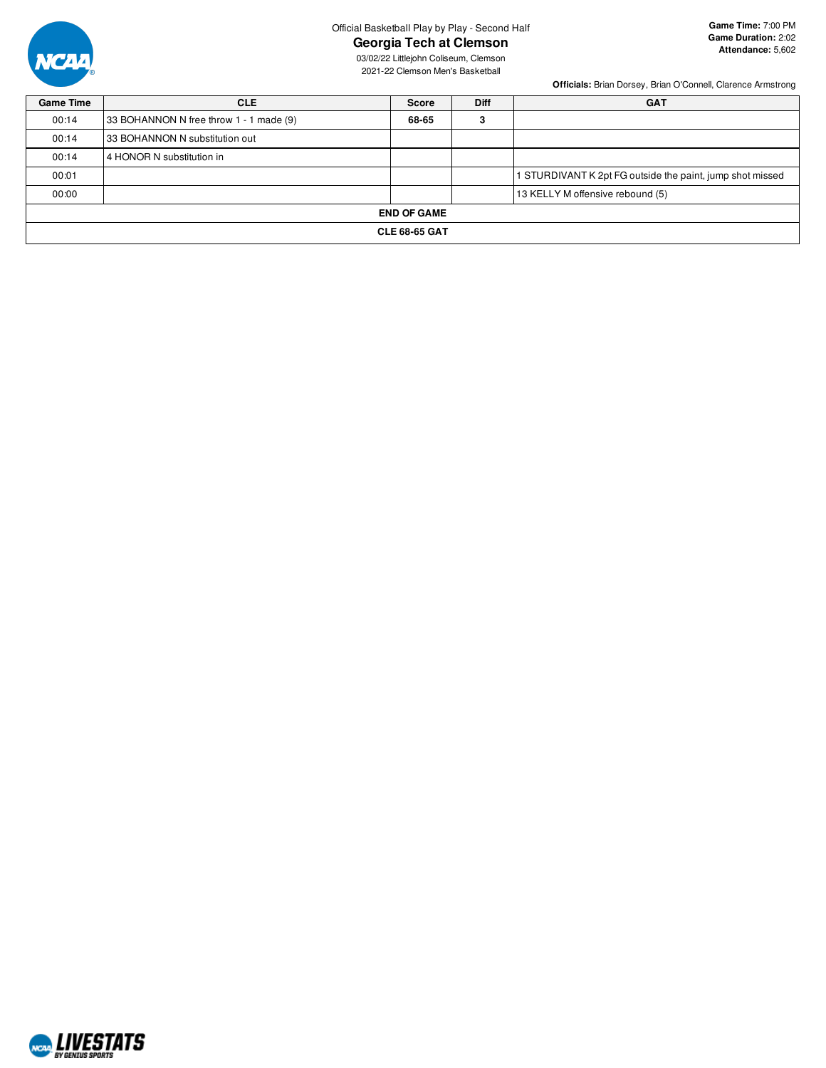

# **Georgia Tech at Clemson**

03/02/22 Littlejohn Coliseum, Clemson 2021-22 Clemson Men's Basketball

**Officials:** Brian Dorsey, Brian O'Connell, Clarence Armstrong

| <b>Game Time</b> | <b>CLE</b>                              | <b>Score</b> | <b>Diff</b> | <b>GAT</b>                                                |  |  |  |  |  |  |  |
|------------------|-----------------------------------------|--------------|-------------|-----------------------------------------------------------|--|--|--|--|--|--|--|
| 00:14            | 33 BOHANNON N free throw 1 - 1 made (9) | 68-65        | 3           |                                                           |  |  |  |  |  |  |  |
| 00:14            | 33 BOHANNON N substitution out          |              |             |                                                           |  |  |  |  |  |  |  |
| 00:14            | 4 HONOR N substitution in               |              |             |                                                           |  |  |  |  |  |  |  |
| 00:01            |                                         |              |             | 1 STURDIVANT K 2pt FG outside the paint, jump shot missed |  |  |  |  |  |  |  |
| 00:00            |                                         |              |             | 13 KELLY M offensive rebound (5)                          |  |  |  |  |  |  |  |
|                  | <b>END OF GAME</b>                      |              |             |                                                           |  |  |  |  |  |  |  |
|                  | <b>CLE 68-65 GAT</b>                    |              |             |                                                           |  |  |  |  |  |  |  |

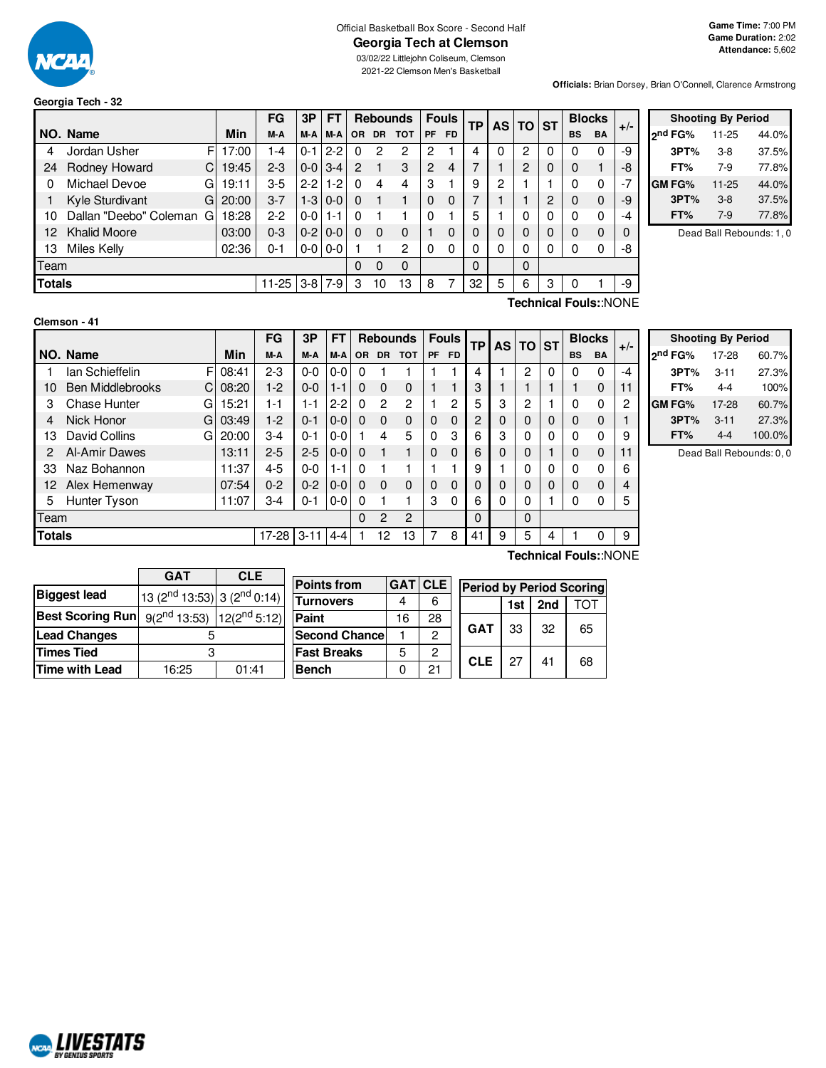

# Official Basketball Box Score - Second Half

03/02/22 Littlejohn Coliseum, Clemson 2021-22 Clemson Men's Basketball

**Officials:** Brian Dorsey, Brian O'Connell, Clarence Armstrong

|               |                        |   |       | FG      | 3P          | <b>FT</b>         |           |           | <b>Rebounds</b> |          | <b>Fouls</b> |   |   | ΤP |   | AS TO ST  |           |      | <b>Blocks</b> | $+/-$ |
|---------------|------------------------|---|-------|---------|-------------|-------------------|-----------|-----------|-----------------|----------|--------------|---|---|----|---|-----------|-----------|------|---------------|-------|
|               | NO. Name               |   | Min   | M-A     | M-A         | M-A               | <b>OR</b> | <b>DR</b> | <b>TOT</b>      | PF       | <b>FD</b>    |   |   |    |   | <b>BS</b> | <b>BA</b> |      |               |       |
| 4             | Jordan Usher           | F | 17:00 | 1-4     | $0 - 1$     | $2 - 2$           |           | 2         | 2               | 2        |              | 4 |   | 2  | 0 | 0         | 0         | -9   |               |       |
| 24            | Rodney Howard          | C | 19:45 | $2 - 3$ |             | $0 - 0$ 3-4       | 2         |           | 3               | 2        | 4            | 7 |   | 2  | 0 | 0         |           | -8   |               |       |
| 0             | Michael Devoe          | G | 19:11 | $3-5$   |             | $2 - 2 1 - 2$     |           | 4         | 4               | З        |              | 9 | 2 |    |   | 0         | 0         | $-7$ |               |       |
|               | Kyle Sturdivant        | G | 20:00 | $3 - 7$ |             | $1-3$   0-0       |           |           |                 | $\Omega$ | 0            | 7 |   |    | 2 | 0         | 0         | -9   |               |       |
| 10            | Dallan "Deebo" Coleman | G | 18:28 | $2-2$   | $0 - 0$ 1-1 |                   |           |           |                 | 0        |              | 5 |   | 0  | 0 | 0         | 0         | -4   |               |       |
| 12.           | <b>Khalid Moore</b>    |   | 03:00 | $0 - 3$ |             | $0-2$   0-0       |           | 0         | 0               |          | 0            | 0 |   | 0  | 0 | 0         | 0         |      |               |       |
| 13            | Miles Kelly            |   | 02:36 | $0 - 1$ |             | $0 - 0$   $0 - 0$ |           |           | 2               | $\Omega$ | $\Omega$     | 0 | 0 | 0  | 0 | 0         | 0         | -8   |               |       |
| Team          |                        |   |       | 0       | 0           | $\Omega$          |           |           | $\Omega$        |          | $\Omega$     |   |   |    |   |           |           |      |               |       |
| <b>Totals</b> |                        |   | 11-25 |         | $3-8$   7-9 | 3                 | 10        | 13        | 8               |          | 32           | 5 | 6 | 3  |   |           | -9        |      |               |       |

|                     | <b>Shooting By Period</b> |       |  |  |  |  |  |  |  |  |  |
|---------------------|---------------------------|-------|--|--|--|--|--|--|--|--|--|
| <sub>2</sub> nd FG% | 11-25                     | 44.0% |  |  |  |  |  |  |  |  |  |
| 3PT%                | 3-8                       | 37.5% |  |  |  |  |  |  |  |  |  |
| FT%                 | 7-9                       | 77.8% |  |  |  |  |  |  |  |  |  |
| <b>GMFG%</b>        | $11 - 25$                 | 44.0% |  |  |  |  |  |  |  |  |  |
| 3PT%                | $3 - 8$                   | 37.5% |  |  |  |  |  |  |  |  |  |
| FT%                 | $7-9$                     | 77.8% |  |  |  |  |  |  |  |  |  |

Dead Ball Rebounds: 1, 0

| Clemson - 41 |  |  |
|--------------|--|--|
|              |  |  |

**Technical Fouls:**:NONE

|               |                              |            | FG      | 3P       | FT      |          |                | <b>Rebounds</b> |          | <b>Fouls</b> |          |          | TP          |          | AS TO ST  |             |       | <b>Blocks</b> |  |
|---------------|------------------------------|------------|---------|----------|---------|----------|----------------|-----------------|----------|--------------|----------|----------|-------------|----------|-----------|-------------|-------|---------------|--|
|               | NO. Name                     | <b>Min</b> | M-A     | M-A      | M-A     | OR.      | <b>DR</b>      | <b>TOT</b>      | PF       | <b>FD</b>    |          |          |             |          | <b>BS</b> | <b>BA</b>   | $+/-$ |               |  |
|               | lan Schieffelin<br>F         | 08:41      | $2-3$   | $0 - 0$  | $0 - 0$ | 0        |                |                 |          |              | 4        |          | 2           | $\Omega$ | $\Omega$  | $\Omega$    | -4    |               |  |
| 10            | <b>Ben Middlebrooks</b><br>C | 08:20      | $1-2$   | $0-0$    | $1 - 1$ | $\Omega$ | 0              | $\mathbf 0$     |          |              | 3        |          |             |          |           | 0           |       |               |  |
| 3             | Chase Hunter<br>G            | 15:21      | 1-1     | 1-1      | $2 - 2$ | 0        | $\overline{2}$ | 2               |          | 2            | 5        | 3        | 2           |          | 0         | 0           | 2     |               |  |
| 4             | Nick Honor<br>G              | 03:49      | $1-2$   | $0 - 1$  | $0 - 0$ | $\Omega$ | 0              | $\mathbf 0$     | 0        | $\Omega$     | 2        | $\Omega$ |             | $\Omega$ | $\Omega$  | $\mathbf 0$ |       |               |  |
| 13            | David Collins<br>G           | 20:00      | $3-4$   | $0 - 1$  | $0 - 0$ |          | 4              | 5               | 0        | 3            | 6        | 3        |             | 0        | 0         | $\Omega$    | 9     |               |  |
| 2             | Al-Amir Dawes                | 13:11      | $2 - 5$ | $2 - 5$  | $0 - 0$ | $\Omega$ |                |                 | $\Omega$ | $\Omega$     | 6        | $\Omega$ | $\mathbf 0$ |          | $\Omega$  | 0           | 11    |               |  |
| 33            | Naz Bohannon                 | 11:37      | $4 - 5$ | $0 - 0$  | $1 - 1$ | $\Omega$ |                |                 |          |              | 9        |          |             | 0        | 0         | $\mathbf 0$ | 6     |               |  |
| 12            | Alex Hemenway                | 07:54      | $0 - 2$ | $0 - 2$  | $0 - 0$ | 0        | $\Omega$       | $\mathbf 0$     | $\Omega$ | $\Omega$     | $\Omega$ | $\Omega$ |             | 0        | $\Omega$  | $\Omega$    |       |               |  |
| 5             | Hunter Tyson                 | 11:07      | 3-4     | $0 - 1$  | $0-0$   | 0        |                |                 | 3        | $\Omega$     | 6        | 0        |             |          | $\Omega$  | 0           | 5     |               |  |
| Team          |                              |            |         |          |         | 0        | $\overline{2}$ | 2               |          |              | $\Omega$ |          | $\Omega$    |          |           |             |       |               |  |
| <b>Totals</b> |                              |            | $17-28$ | $3 - 11$ | $4 - 4$ |          | 12             | 13              | 7        | 8            | 41       | 9        | 5           | 4        |           |             | 9     |               |  |

| <b>Shooting By Period</b> |          |        |  |  |  |  |  |  |  |  |  |
|---------------------------|----------|--------|--|--|--|--|--|--|--|--|--|
| 2 <sup>nd</sup> FG%       | 17-28    | 60.7%  |  |  |  |  |  |  |  |  |  |
| 3PT%                      | $3 - 11$ | 27.3%  |  |  |  |  |  |  |  |  |  |
| FT%                       | 4-4      | 100%   |  |  |  |  |  |  |  |  |  |
| GM FG%                    | 17-28    | 60.7%  |  |  |  |  |  |  |  |  |  |
| 3PT%                      | $3 - 11$ | 27.3%  |  |  |  |  |  |  |  |  |  |
| FT%                       | 4-4      | 100.0% |  |  |  |  |  |  |  |  |  |

Dead Ball Rebounds: 0, 0

|                         | <b>GAT</b>                            | <b>CLE</b> |  |  |  |  |  |
|-------------------------|---------------------------------------|------------|--|--|--|--|--|
| <b>Biggest lead</b>     | 13 $(2^{nd} 13:53)$ 3 $(2^{nd} 0:14)$ |            |  |  |  |  |  |
| <b>Best Scoring Run</b> | $9(2^{nd} 13:53)$   $12(2^{nd} 5:12)$ |            |  |  |  |  |  |
| <b>Lead Changes</b>     |                                       |            |  |  |  |  |  |
| <b>Times Tied</b>       | 3                                     |            |  |  |  |  |  |
| <b>Time with Lead</b>   | 16:25                                 | 01:41      |  |  |  |  |  |

| <b>Points from</b>    |    | <b>GATICLE</b> | <b>Period by Period Scoring</b> |                   |    |    |    |  |  |  |  |
|-----------------------|----|----------------|---------------------------------|-------------------|----|----|----|--|--|--|--|
| <b>Turnovers</b>      |    | 6              |                                 | 2nd<br>ומד<br>1st |    |    |    |  |  |  |  |
| Paint                 | 16 | 28             |                                 |                   | 33 | 32 |    |  |  |  |  |
| <b>Second Chancel</b> |    | 2              |                                 | <b>GAT</b>        |    |    | 65 |  |  |  |  |
| <b>Fast Breaks</b>    | 5  | 2              |                                 | <b>CLE</b>        | 27 | 41 |    |  |  |  |  |
| <b>Bench</b>          |    | 21             |                                 |                   |    |    | 68 |  |  |  |  |

**Technical Fouls:**:NONE